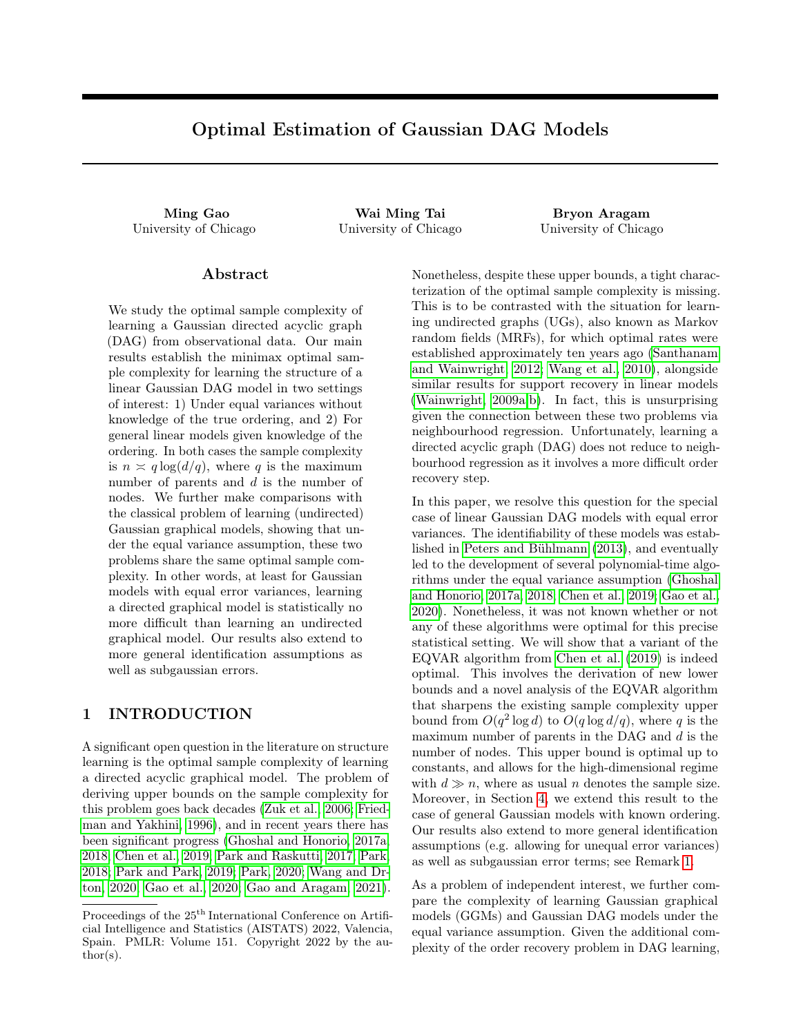# Optimal Estimation of Gaussian DAG Models

University of Chicago University of Chicago University of Chicago

Ming Gao Wai Ming Tai Bryon Aragam

## Abstract

We study the optimal sample complexity of learning a Gaussian directed acyclic graph (DAG) from observational data. Our main results establish the minimax optimal sample complexity for learning the structure of a linear Gaussian DAG model in two settings of interest: 1) Under equal variances without knowledge of the true ordering, and 2) For general linear models given knowledge of the ordering. In both cases the sample complexity is  $n \asymp q \log(d/q)$ , where q is the maximum number of parents and d is the number of nodes. We further make comparisons with the classical problem of learning (undirected) Gaussian graphical models, showing that under the equal variance assumption, these two problems share the same optimal sample complexity. In other words, at least for Gaussian models with equal error variances, learning a directed graphical model is statistically no more difficult than learning an undirected graphical model. Our results also extend to more general identification assumptions as well as subgaussian errors.

# <span id="page-0-0"></span>1 INTRODUCTION

A significant open question in the literature on structure learning is the optimal sample complexity of learning a directed acyclic graphical model. The problem of deriving upper bounds on the sample complexity for this problem goes back decades [\(Zuk et al., 2006;](#page-10-0) [Fried](#page-8-0)[man and Yakhini, 1996\)](#page-8-0), and in recent years there has been significant progress [\(Ghoshal and Honorio, 2017a,](#page-8-1) [2018;](#page-9-0) [Chen et al., 2019;](#page-8-2) [Park and Raskutti, 2017;](#page-9-1) [Park,](#page-9-2) [2018;](#page-9-2) [Park and Park, 2019;](#page-9-3) [Park, 2020;](#page-9-4) [Wang and Dr](#page-10-1)[ton, 2020;](#page-10-1) [Gao et al., 2020;](#page-8-3) [Gao and Aragam, 2021\)](#page-8-4). Nonetheless, despite these upper bounds, a tight characterization of the optimal sample complexity is missing. This is to be contrasted with the situation for learning undirected graphs (UGs), also known as Markov random fields (MRFs), for which optimal rates were established approximately ten years ago [\(Santhanam](#page-9-5) [and Wainwright, 2012;](#page-9-5) [Wang et al., 2010\)](#page-10-2), alongside similar results for support recovery in linear models [\(Wainwright, 2009a,](#page-10-3)[b\)](#page-10-4). In fact, this is unsurprising given the connection between these two problems via neighbourhood regression. Unfortunately, learning a directed acyclic graph (DAG) does not reduce to neighbourhood regression as it involves a more difficult order recovery step.

In this paper, we resolve this question for the special case of linear Gaussian DAG models with equal error variances. The identifiability of these models was established in [Peters and Bühlmann](#page-9-6) [\(2013\)](#page-9-6), and eventually led to the development of several polynomial-time algorithms under the equal variance assumption [\(Ghoshal](#page-8-1) [and Honorio, 2017a,](#page-8-1) [2018;](#page-9-0) [Chen et al., 2019;](#page-8-2) [Gao et al.,](#page-8-3) [2020\)](#page-8-3). Nonetheless, it was not known whether or not any of these algorithms were optimal for this precise statistical setting. We will show that a variant of the EQVAR algorithm from [Chen et al.](#page-8-2) [\(2019\)](#page-8-2) is indeed optimal. This involves the derivation of new lower bounds and a novel analysis of the EQVAR algorithm that sharpens the existing sample complexity upper bound from  $O(q^2 \log d)$  to  $O(q \log d/q)$ , where q is the maximum number of parents in the DAG and  $d$  is the number of nodes. This upper bound is optimal up to constants, and allows for the high-dimensional regime with  $d \gg n$ , where as usual n denotes the sample size. Moreover, in Section [4,](#page-4-0) we extend this result to the case of general Gaussian models with known ordering. Our results also extend to more general identification assumptions (e.g. allowing for unequal error variances) as well as subgaussian error terms; see Remark [1.](#page-2-0)

As a problem of independent interest, we further compare the complexity of learning Gaussian graphical models (GGMs) and Gaussian DAG models under the equal variance assumption. Given the additional complexity of the order recovery problem in DAG learning,

Proceedings of the  $25<sup>th</sup>$  International Conference on Artificial Intelligence and Statistics (AISTATS) 2022, Valencia, Spain. PMLR: Volume 151. Copyright 2022 by the au- $\text{thor}(s)$ .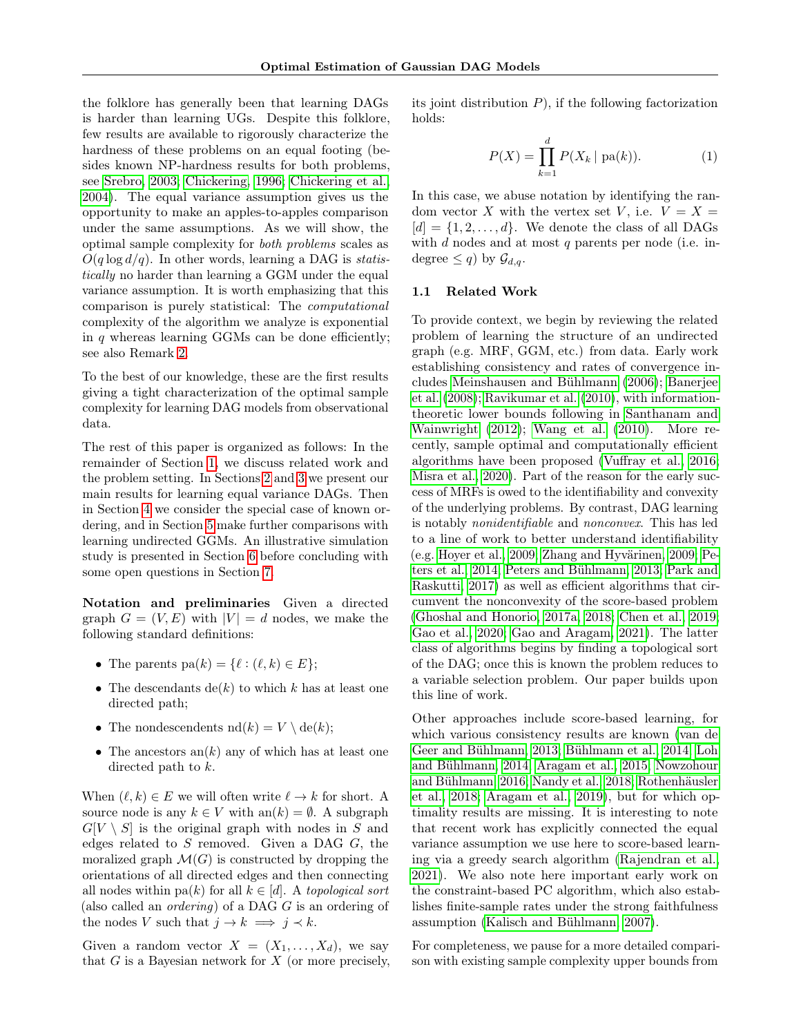the folklore has generally been that learning DAGs is harder than learning UGs. Despite this folklore, few results are available to rigorously characterize the hardness of these problems on an equal footing (besides known NP-hardness results for both problems, see [Srebro, 2003;](#page-9-7) [Chickering, 1996;](#page-8-5) [Chickering et al.,](#page-8-6) [2004\)](#page-8-6). The equal variance assumption gives us the opportunity to make an apples-to-apples comparison under the same assumptions. As we will show, the optimal sample complexity for both problems scales as  $O(q \log d/q)$ . In other words, learning a DAG is *statis*tically no harder than learning a GGM under the equal variance assumption. It is worth emphasizing that this comparison is purely statistical: The computational complexity of the algorithm we analyze is exponential in  $q$  whereas learning GGMs can be done efficiently; see also Remark [2.](#page-4-1)

To the best of our knowledge, these are the first results giving a tight characterization of the optimal sample complexity for learning DAG models from observational data.

The rest of this paper is organized as follows: In the remainder of Section [1,](#page-0-0) we discuss related work and the problem setting. In Sections [2](#page-3-0) and [3](#page-4-2) we present our main results for learning equal variance DAGs. Then in Section [4](#page-4-0) we consider the special case of known ordering, and in Section [5](#page-5-0) make further comparisons with learning undirected GGMs. An illustrative simulation study is presented in Section [6](#page-7-0) before concluding with some open questions in Section [7.](#page-7-1)

Notation and preliminaries Given a directed graph  $G = (V, E)$  with  $|V| = d$  nodes, we make the following standard definitions:

- The parents  $pa(k) = \{ \ell : (\ell, k) \in E \};$
- The descendants  $de(k)$  to which k has at least one directed path;
- The nondescendents  $\mathrm{nd}(k) = V \setminus \mathrm{de}(k);$
- The ancestors  $an(k)$  any of which has at least one directed path to k.

When  $(\ell, k) \in E$  we will often write  $\ell \to k$  for short. A source node is any  $k \in V$  with an $(k) = \emptyset$ . A subgraph  $G[V \setminus S]$  is the original graph with nodes in S and edges related to  $S$  removed. Given a DAG  $G$ , the moralized graph  $\mathcal{M}(G)$  is constructed by dropping the orientations of all directed edges and then connecting all nodes within pa(k) for all  $k \in [d]$ . A topological sort (also called an ordering) of a DAG G is an ordering of the nodes V such that  $j \to k \implies j \prec k$ .

Given a random vector  $X = (X_1, \ldots, X_d)$ , we say that  $G$  is a Bayesian network for  $X$  (or more precisely, its joint distribution  $P$ ), if the following factorization holds:

<span id="page-1-0"></span>
$$
P(X) = \prod_{k=1}^{d} P(X_k | \text{pa}(k)).
$$
 (1)

In this case, we abuse notation by identifying the random vector X with the vertex set V, i.e.  $V = X =$  $[d] = \{1, 2, \ldots, d\}$ . We denote the class of all DAGs with  $d$  nodes and at most  $q$  parents per node (i.e. indegree  $\leq q$ ) by  $\mathcal{G}_{d,q}$ .

#### 1.1 Related Work

To provide context, we begin by reviewing the related problem of learning the structure of an undirected graph (e.g. MRF, GGM, etc.) from data. Early work establishing consistency and rates of convergence includes [Meinshausen and Bühlmann](#page-9-8) [\(2006\)](#page-9-8); [Banerjee](#page-8-7) [et al.](#page-8-7) [\(2008\)](#page-8-7); [Ravikumar et al.](#page-9-9) [\(2010\)](#page-9-9), with informationtheoretic lower bounds following in [Santhanam and](#page-9-5) [Wainwright](#page-9-5) [\(2012\)](#page-9-5); [Wang et al.](#page-10-2) [\(2010\)](#page-10-2). More recently, sample optimal and computationally efficient algorithms have been proposed [\(Vuffray et al., 2016;](#page-9-10) [Misra et al., 2020\)](#page-9-11). Part of the reason for the early success of MRFs is owed to the identifiability and convexity of the underlying problems. By contrast, DAG learning is notably nonidentifiable and nonconvex. This has led to a line of work to better understand identifiability (e.g. [Hoyer et al., 2009;](#page-9-12) [Zhang and Hyvärinen, 2009;](#page-10-5) [Pe](#page-9-13)[ters et al., 2014;](#page-9-13) [Peters and Bühlmann, 2013;](#page-9-6) [Park and](#page-9-1) [Raskutti, 2017\)](#page-9-1) as well as efficient algorithms that circumvent the nonconvexity of the score-based problem [\(Ghoshal and Honorio, 2017a,](#page-8-1) [2018;](#page-9-0) [Chen et al., 2019;](#page-8-2) [Gao et al., 2020;](#page-8-3) [Gao and Aragam, 2021\)](#page-8-4). The latter class of algorithms begins by finding a topological sort of the DAG; once this is known the problem reduces to a variable selection problem. Our paper builds upon this line of work.

Other approaches include score-based learning, for which various consistency results are known [\(van de](#page-9-14) [Geer and Bühlmann, 2013;](#page-9-14) [Bühlmann et al., 2014;](#page-8-8) [Loh](#page-9-15) [and Bühlmann, 2014;](#page-9-15) [Aragam et al., 2015;](#page-8-9) [Nowzohour](#page-9-16) [and Bühlmann, 2016;](#page-9-16) [Nandy et al., 2018;](#page-9-17) [Rothenhäusler](#page-9-18) [et al., 2018;](#page-9-18) [Aragam et al., 2019\)](#page-8-10), but for which optimality results are missing. It is interesting to note that recent work has explicitly connected the equal variance assumption we use here to score-based learning via a greedy search algorithm [\(Rajendran et al.,](#page-9-19) [2021\)](#page-9-19). We also note here important early work on the constraint-based PC algorithm, which also establishes finite-sample rates under the strong faithfulness assumption [\(Kalisch and Bühlmann, 2007\)](#page-9-20).

For completeness, we pause for a more detailed comparison with existing sample complexity upper bounds from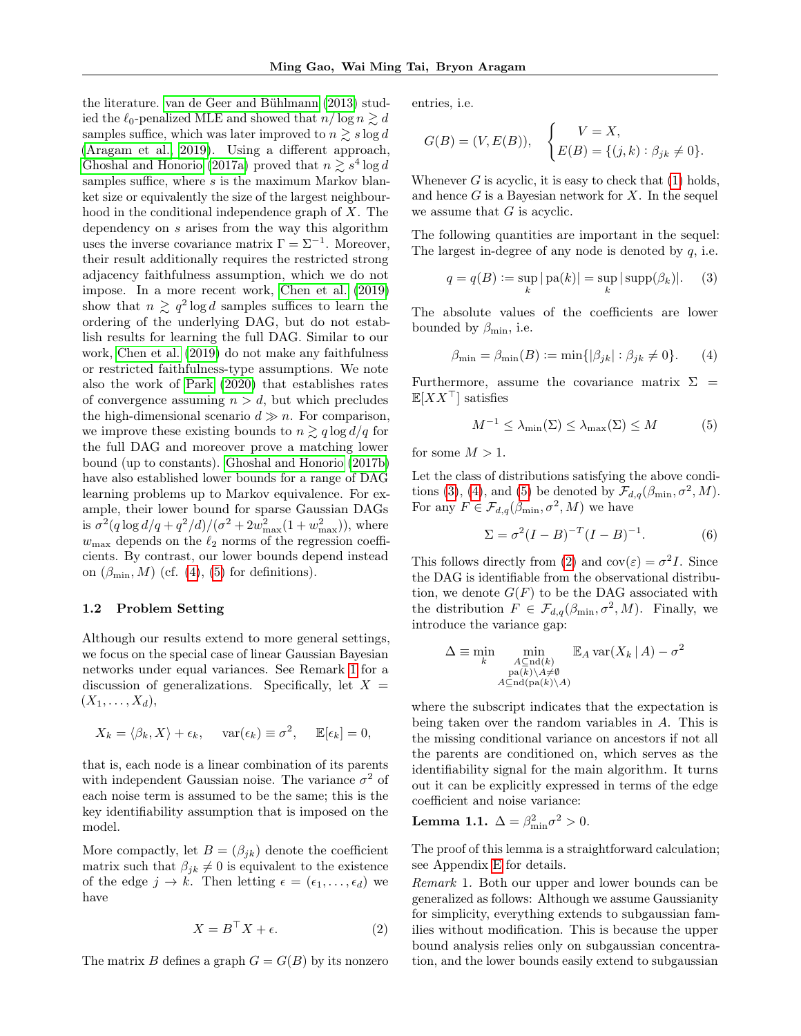the literature. [van de Geer and Bühlmann](#page-9-14) [\(2013\)](#page-9-14) studied the  $\ell_0$ -penalized MLE and showed that  $n/\log n \gtrsim d$ samples suffice, which was later improved to  $n \gtrsim s \log d$ [\(Aragam et al., 2019\)](#page-8-10). Using a different approach, [Ghoshal and Honorio](#page-8-1) [\(2017a\)](#page-8-1) proved that  $n \gtrsim s^4 \log d$ samples suffice, where s is the maximum Markov blanket size or equivalently the size of the largest neighbourhood in the conditional independence graph of X. The dependency on s arises from the way this algorithm uses the inverse covariance matrix  $\Gamma = \Sigma^{-1}$ . Moreover, their result additionally requires the restricted strong adjacency faithfulness assumption, which we do not impose. In a more recent work, [Chen et al.](#page-8-2) [\(2019\)](#page-8-2) show that  $n \geq q^2 \log d$  samples suffices to learn the ordering of the underlying DAG, but do not establish results for learning the full DAG. Similar to our work, [Chen et al.](#page-8-2) [\(2019\)](#page-8-2) do not make any faithfulness or restricted faithfulness-type assumptions. We note also the work of [Park](#page-9-4) [\(2020\)](#page-9-4) that establishes rates of convergence assuming  $n > d$ , but which precludes the high-dimensional scenario  $d \gg n$ . For comparison, we improve these existing bounds to  $n \gtrsim q \log d/q$  for the full DAG and moreover prove a matching lower bound (up to constants). [Ghoshal and Honorio](#page-9-21) [\(2017b\)](#page-9-21) have also established lower bounds for a range of DAG learning problems up to Markov equivalence. For example, their lower bound for sparse Gaussian DAGs is  $\sigma^2(q \log d/q + q^2/d)/(\sigma^2 + 2w_{\text{max}}^2(1 + w_{\text{max}}^2)),$  where  $w_{\text{max}}$  depends on the  $\ell_2$  norms of the regression coefficients. By contrast, our lower bounds depend instead on  $(\beta_{\min}, M)$  (cf. [\(4\)](#page-2-1), [\(5\)](#page-2-2) for definitions).

### 1.2 Problem Setting

Although our results extend to more general settings, we focus on the special case of linear Gaussian Bayesian networks under equal variances. See Remark [1](#page-2-0) for a discussion of generalizations. Specifically, let  $X =$  $(X_1, \ldots, X_d),$ 

$$
X_k = \langle \beta_k, X \rangle + \epsilon_k, \quad \text{var}(\epsilon_k) \equiv \sigma^2, \quad \mathbb{E}[\epsilon_k] = 0,
$$

that is, each node is a linear combination of its parents with independent Gaussian noise. The variance  $\sigma^2$  of each noise term is assumed to be the same; this is the key identifiability assumption that is imposed on the model.

More compactly, let  $B = (\beta_{ik})$  denote the coefficient matrix such that  $\beta_{jk} \neq 0$  is equivalent to the existence of the edge  $j \to k$ . Then letting  $\epsilon = (\epsilon_1, \ldots, \epsilon_d)$  we have

$$
X = B^{\top} X + \epsilon. \tag{2}
$$

The matrix B defines a graph  $G = G(B)$  by its nonzero

entries, i.e.

$$
G(B) = (V, E(B)), \quad \begin{cases} V = X, \\ E(B) = \{(j,k) : \beta_{jk} \neq 0\}. \end{cases}
$$

Whenever  $G$  is acyclic, it is easy to check that  $(1)$  holds, and hence  $G$  is a Bayesian network for  $X$ . In the sequel we assume that  $G$  is acyclic.

The following quantities are important in the sequel: The largest in-degree of any node is denoted by  $q$ , i.e.

<span id="page-2-3"></span>
$$
q = q(B) := \sup_{k} |\text{pa}(k)| = \sup_{k} |\text{supp}(\beta_k)|.
$$
 (3)

The absolute values of the coefficients are lower bounded by  $\beta_{\min}$ , i.e.

$$
\beta_{\min} = \beta_{\min}(B) := \min\{|\beta_{jk}| : \beta_{jk} \neq 0\}.
$$
 (4)

Furthermore, assume the covariance matrix  $\Sigma =$  $\mathbb{E}[XX^{\top}]$  satisfies

<span id="page-2-2"></span><span id="page-2-1"></span>
$$
M^{-1} \le \lambda_{\min}(\Sigma) \le \lambda_{\max}(\Sigma) \le M \tag{5}
$$

for some  $M > 1$ .

Let the class of distributions satisfying the above condi-tions [\(3\)](#page-2-3), [\(4\)](#page-2-1), and [\(5\)](#page-2-2) be denoted by  $\mathcal{F}_{d,q}(\beta_{\min}, \sigma^2, M)$ . For any  $F \in \mathcal{F}_{d,q}(\beta_{\min}, \sigma^2, M)$  we have

<span id="page-2-6"></span>
$$
\Sigma = \sigma^2 (I - B)^{-T} (I - B)^{-1}.
$$
 (6)

This follows directly from [\(2\)](#page-2-4) and  $cov(\varepsilon) = \sigma^2 I$ . Since the DAG is identifiable from the observational distribution, we denote  $G(F)$  to be the DAG associated with the distribution  $F \in \mathcal{F}_{d,q}(\beta_{\min}, \sigma^2, M)$ . Finally, we introduce the variance gap:

$$
\Delta \equiv \min_{k} \min_{\substack{A \subseteq \text{nd}(k) \\ \text{pa}(k) \setminus A \neq \emptyset \\ A \subseteq \text{nd}(\text{pa}(k) \setminus A)}} \mathbb{E}_{A} \text{var}(X_{k} | A) - \sigma^{2}
$$

where the subscript indicates that the expectation is being taken over the random variables in A. This is the missing conditional variance on ancestors if not all the parents are conditioned on, which serves as the identifiability signal for the main algorithm. It turns out it can be explicitly expressed in terms of the edge coefficient and noise variance:

<span id="page-2-5"></span>**Lemma 1.1.** 
$$
\Delta = \beta_{\min}^2 \sigma^2 > 0
$$
.

The proof of this lemma is a straightforward calculation; see Appendix [E](#page-19-0) for details.

<span id="page-2-4"></span><span id="page-2-0"></span>Remark 1. Both our upper and lower bounds can be generalized as follows: Although we assume Gaussianity for simplicity, everything extends to subgaussian families without modification. This is because the upper bound analysis relies only on subgaussian concentration, and the lower bounds easily extend to subgaussian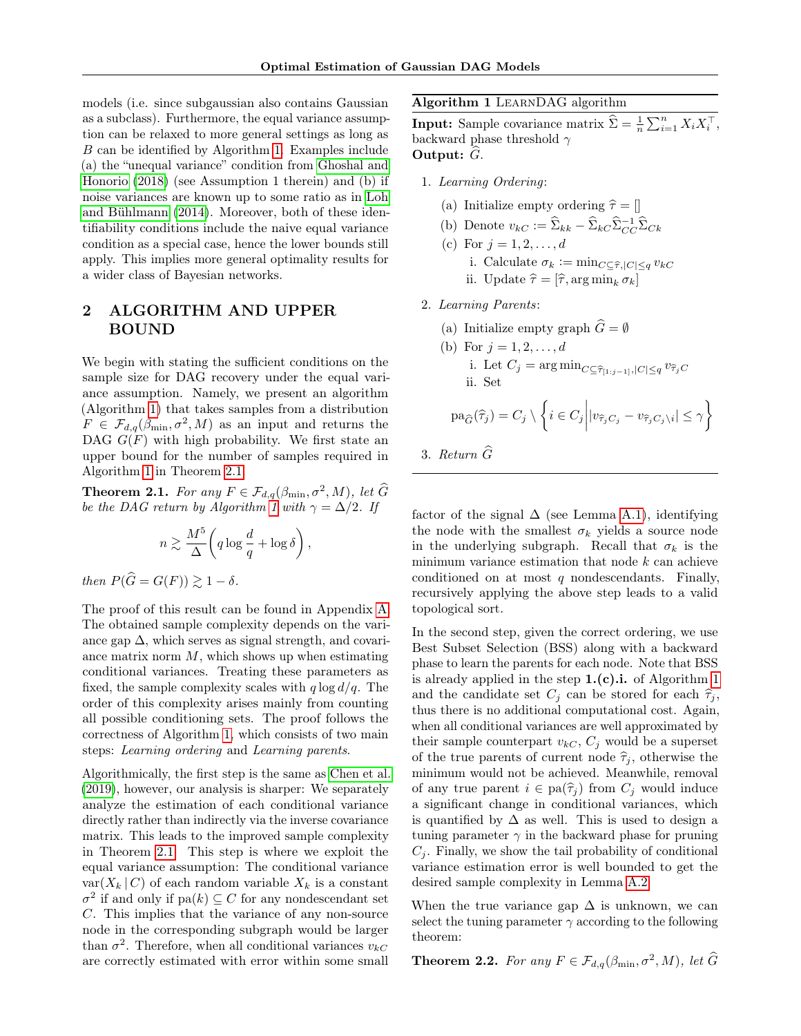models (i.e. since subgaussian also contains Gaussian as a subclass). Furthermore, the equal variance assumption can be relaxed to more general settings as long as B can be identified by Algorithm [1.](#page-3-1) Examples include (a) the "unequal variance" condition from [Ghoshal and](#page-9-0) [Honorio](#page-9-0) [\(2018\)](#page-9-0) (see Assumption 1 therein) and (b) if noise variances are known up to some ratio as in [Loh](#page-9-15) [and Bühlmann](#page-9-15) [\(2014\)](#page-9-15). Moreover, both of these identifiability conditions include the naive equal variance condition as a special case, hence the lower bounds still apply. This implies more general optimality results for a wider class of Bayesian networks.

# <span id="page-3-0"></span>2 ALGORITHM AND UPPER BOUND

We begin with stating the sufficient conditions on the sample size for DAG recovery under the equal variance assumption. Namely, we present an algorithm (Algorithm [1\)](#page-3-1) that takes samples from a distribution  $F \in \mathcal{F}_{d,q}(\beta_{\min}, \sigma^2, M)$  as an input and returns the DAG  $G(F)$  with high probability. We first state an upper bound for the number of samples required in Algorithm [1](#page-3-1) in Theorem [2.1.](#page-3-2)

<span id="page-3-2"></span>**Theorem 2.1.** For any  $F \in \mathcal{F}_{d,q}(\beta_{\min}, \sigma^2, M)$ , let  $\widehat{G}$ be the DAG return by Algorithm [1](#page-3-1) with  $\gamma = \Delta/2$ . If

$$
n \gtrsim \frac{M^5}{\Delta} \bigg( q \log \frac{d}{q} + \log \delta \bigg) \,,
$$

then  $P(\widehat{G} = G(F)) \geq 1 - \delta$ .

The proof of this result can be found in Appendix [A.](#page-11-0) The obtained sample complexity depends on the variance gap  $\Delta$ , which serves as signal strength, and covariance matrix norm  $M$ , which shows up when estimating conditional variances. Treating these parameters as fixed, the sample complexity scales with  $q \log d/q$ . The order of this complexity arises mainly from counting all possible conditioning sets. The proof follows the correctness of Algorithm [1,](#page-3-1) which consists of two main steps: Learning ordering and Learning parents.

Algorithmically, the first step is the same as [Chen et al.](#page-8-2) [\(2019\)](#page-8-2), however, our analysis is sharper: We separately analyze the estimation of each conditional variance directly rather than indirectly via the inverse covariance matrix. This leads to the improved sample complexity in Theorem [2.1.](#page-3-2) This step is where we exploit the equal variance assumption: The conditional variance  $var(X_k | C)$  of each random variable  $X_k$  is a constant  $\sigma^2$  if and only if  $\text{pa}(k) \subseteq C$  for any nondescendant set C. This implies that the variance of any non-source node in the corresponding subgraph would be larger than  $\sigma^2$ . Therefore, when all conditional variances  $v_{kC}$ are correctly estimated with error within some small

# Algorithm 1 LearnDAG algorithm

<span id="page-3-1"></span>**Input:** Sample covariance matrix  $\hat{\Sigma} = \frac{1}{n} \sum_{i=1}^{n} X_i X_i^{\top}$ , backward phase threshold  $\gamma$ Output:  $G$ .

- 1. Learning Ordering:
	- (a) Initialize empty ordering  $\hat{\tau} = []$
	- (b) Denote  $v_{kC} := \widehat{\Sigma}_{kk} \widehat{\Sigma}_{kC} \widehat{\Sigma}_{CC}^{-1} \widehat{\Sigma}_{Ck}$
	- (c) For  $j = 1, 2, ..., d$ i. Calculate  $\sigma_k := \min_{C \subseteq \widehat{\tau}, |C| \le q} v_{kC}$ ii. Update  $\hat{\tau} = [\hat{\tau}, \arg \min_k \sigma_k]$
- 2. Learning Parents:
	- (a) Initialize empty graph  $\widehat{G} = \emptyset$
	- (b) For  $j = 1, 2, ..., d$ i. Let  $C_j = \arg \min_{C \subseteq \widehat{\tau}_{[1:j-1]}, |C| \leq q} v_{\widehat{\tau}_jC}$ ii. Set

$$
\mathrm{pa}_{\widehat{G}}(\widehat{\tau}_j) = C_j \setminus \left\{ i \in C_j \middle| |v_{\widehat{\tau}_j C_j} - v_{\widehat{\tau}_j C_j \setminus i}| \leq \gamma \right\}
$$

3. Return 
$$
\widehat{G}
$$

factor of the signal  $\Delta$  (see Lemma [A.1\)](#page-11-1), identifying the node with the smallest  $\sigma_k$  yields a source node in the underlying subgraph. Recall that  $\sigma_k$  is the minimum variance estimation that node  $k$  can achieve conditioned on at most  $q$  nondescendants. Finally, recursively applying the above step leads to a valid topological sort.

In the second step, given the correct ordering, we use Best Subset Selection (BSS) along with a backward phase to learn the parents for each node. Note that BSS is already applied in the step  $1.(c).i.$  of Algorithm [1](#page-3-1) and the candidate set  $C_i$  can be stored for each  $\hat{\tau}_i$ , thus there is no additional computational cost. Again, when all conditional variances are well approximated by their sample counterpart  $v_{kC}$ ,  $C_j$  would be a superset of the true parents of current node  $\hat{\tau}_i$ , otherwise the minimum would not be achieved. Meanwhile, removal of any true parent  $i \in pa(\hat{\tau}_j)$  from  $C_j$  would induce a significant change in conditional variances, which is quantified by  $\Delta$  as well. This is used to design a tuning parameter  $\gamma$  in the backward phase for pruning  $C_i$ . Finally, we show the tail probability of conditional variance estimation error is well bounded to get the desired sample complexity in Lemma [A.2.](#page-12-0)

When the true variance gap  $\Delta$  is unknown, we can select the tuning parameter  $\gamma$  according to the following theorem:

<span id="page-3-3"></span>**Theorem 2.2.** For any  $F \in \mathcal{F}_{d,q}(\beta_{\min}, \sigma^2, M)$ , let  $\widehat{G}$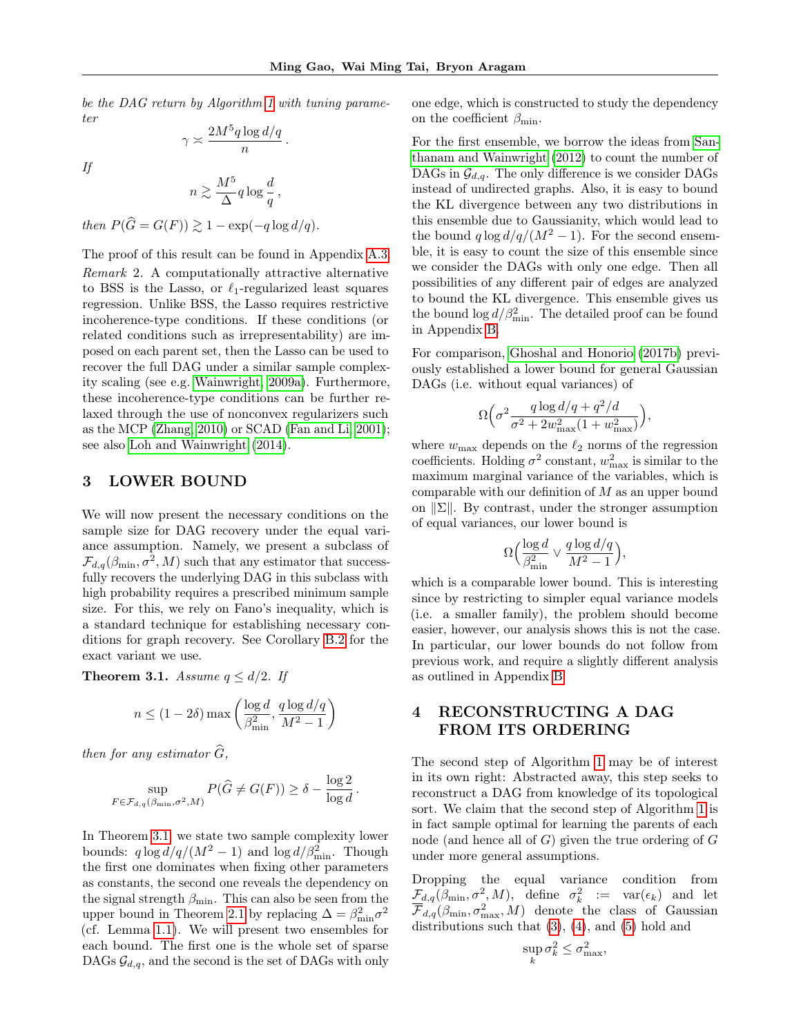be the DAG return by Algorithm [1](#page-3-1) with tuning parameter

$$
\gamma \asymp \frac{2M^5q\log d/q}{n} \, .
$$

If

$$
n \gtrsim \frac{M^5}{\Delta} q \log \frac{d}{q} \,,
$$

then  $P(\widehat{G} = G(F)) \geq 1 - \exp(-q \log d/q).$ 

<span id="page-4-1"></span>The proof of this result can be found in Appendix [A.3.](#page-14-0) Remark 2. A computationally attractive alternative to BSS is the Lasso, or  $\ell_1$ -regularized least squares regression. Unlike BSS, the Lasso requires restrictive incoherence-type conditions. If these conditions (or related conditions such as irrepresentability) are imposed on each parent set, then the Lasso can be used to recover the full DAG under a similar sample complexity scaling (see e.g. [Wainwright, 2009a\)](#page-10-3). Furthermore, these incoherence-type conditions can be further relaxed through the use of nonconvex regularizers such as the MCP [\(Zhang, 2010\)](#page-10-6) or SCAD [\(Fan and Li, 2001\)](#page-8-11); see also [Loh and Wainwright](#page-9-22) [\(2014\)](#page-9-22).

# <span id="page-4-2"></span>3 LOWER BOUND

We will now present the necessary conditions on the sample size for DAG recovery under the equal variance assumption. Namely, we present a subclass of  $\mathcal{F}_{d,q}(\beta_{\text{min}}, \sigma^2, M)$  such that any estimator that successfully recovers the underlying DAG in this subclass with high probability requires a prescribed minimum sample size. For this, we rely on Fano's inequality, which is a standard technique for establishing necessary conditions for graph recovery. See Corollary [B.2](#page-14-1) for the exact variant we use.

<span id="page-4-3"></span>**Theorem 3.1.** Assume  $q \leq d/2$ . If

$$
n \le (1 - 2\delta) \max\left(\frac{\log d}{\beta_{\min}^2}, \frac{q \log d/q}{M^2 - 1}\right)
$$

then for any estimator  $\widehat{G}$ ,

$$
\sup_{F \in \mathcal{F}_{d,q}(\beta_{\min}, \sigma^2, M)} P(\widehat{G} \neq G(F)) \geq \delta - \frac{\log 2}{\log d}
$$

.

In Theorem [3.1,](#page-4-3) we state two sample complexity lower bounds:  $q \log d/q/(M^2-1)$  and  $\log d/\beta_{\min}^2$ . Though the first one dominates when fixing other parameters as constants, the second one reveals the dependency on the signal strength  $\beta_{\min}$ . This can also be seen from the upper bound in Theorem [2.1](#page-3-2) by replacing  $\Delta = \beta_{\min}^2 \sigma^2$ (cf. Lemma [1.1\)](#page-2-5). We will present two ensembles for each bound. The first one is the whole set of sparse DAGs  $\mathcal{G}_{d,q}$ , and the second is the set of DAGs with only one edge, which is constructed to study the dependency on the coefficient  $\beta_{\min}$ .

For the first ensemble, we borrow the ideas from [San](#page-9-5)[thanam and Wainwright](#page-9-5) [\(2012\)](#page-9-5) to count the number of DAGs in  $\mathcal{G}_{d,q}$ . The only difference is we consider DAGs instead of undirected graphs. Also, it is easy to bound the KL divergence between any two distributions in this ensemble due to Gaussianity, which would lead to the bound  $q \log d/q/(M^2-1)$ . For the second ensemble, it is easy to count the size of this ensemble since we consider the DAGs with only one edge. Then all possibilities of any different pair of edges are analyzed to bound the KL divergence. This ensemble gives us the bound  $\log d/\beta_{\rm min}^2$ . The detailed proof can be found in Appendix [B.](#page-14-2)

For comparison, [Ghoshal and Honorio](#page-9-21) [\(2017b\)](#page-9-21) previously established a lower bound for general Gaussian DAGs (i.e. without equal variances) of

$$
\Omega\Big(\sigma^2\frac{q\log d/q + q^2/d}{\sigma^2 + 2w_{\max}^2(1+w_{\max}^2)}\Big)
$$

,

where  $w_{\text{max}}$  depends on the  $\ell_2$  norms of the regression coefficients. Holding  $\sigma^2$  constant,  $w_{\text{max}}^2$  is similar to the maximum marginal variance of the variables, which is comparable with our definition of  $M$  as an upper bound on  $\|\Sigma\|$ . By contrast, under the stronger assumption of equal variances, our lower bound is

$$
\Omega\Big(\frac{\log d}{\beta_{\min}^2} \vee \frac{q \log d/q}{M^2 - 1}\Big),\
$$

which is a comparable lower bound. This is interesting since by restricting to simpler equal variance models (i.e. a smaller family), the problem should become easier, however, our analysis shows this is not the case. In particular, our lower bounds do not follow from previous work, and require a slightly different analysis as outlined in Appendix [B.](#page-14-2)

# <span id="page-4-0"></span>4 RECONSTRUCTING A DAG FROM ITS ORDERING

The second step of Algorithm [1](#page-3-1) may be of interest in its own right: Abstracted away, this step seeks to reconstruct a DAG from knowledge of its topological sort. We claim that the second step of Algorithm [1](#page-3-1) is in fact sample optimal for learning the parents of each node (and hence all of  $G$ ) given the true ordering of  $G$ under more general assumptions.

Dropping the equal variance condition from  $\mathcal{F}_{d,q}(\beta_{\min}, \sigma^2, M)$ , define  $\sigma_k^2 := \text{var}(\epsilon_k)$  and let  $\overline{\mathcal{F}}_{d,q}(\beta_{\min}, \sigma_{\max}^2, M)$  denote the class of Gaussian distributions such that [\(3\)](#page-2-3), [\(4\)](#page-2-1), and [\(5\)](#page-2-2) hold and

$$
\sup_{k} \sigma_k^2 \le \sigma_{\max}^2,
$$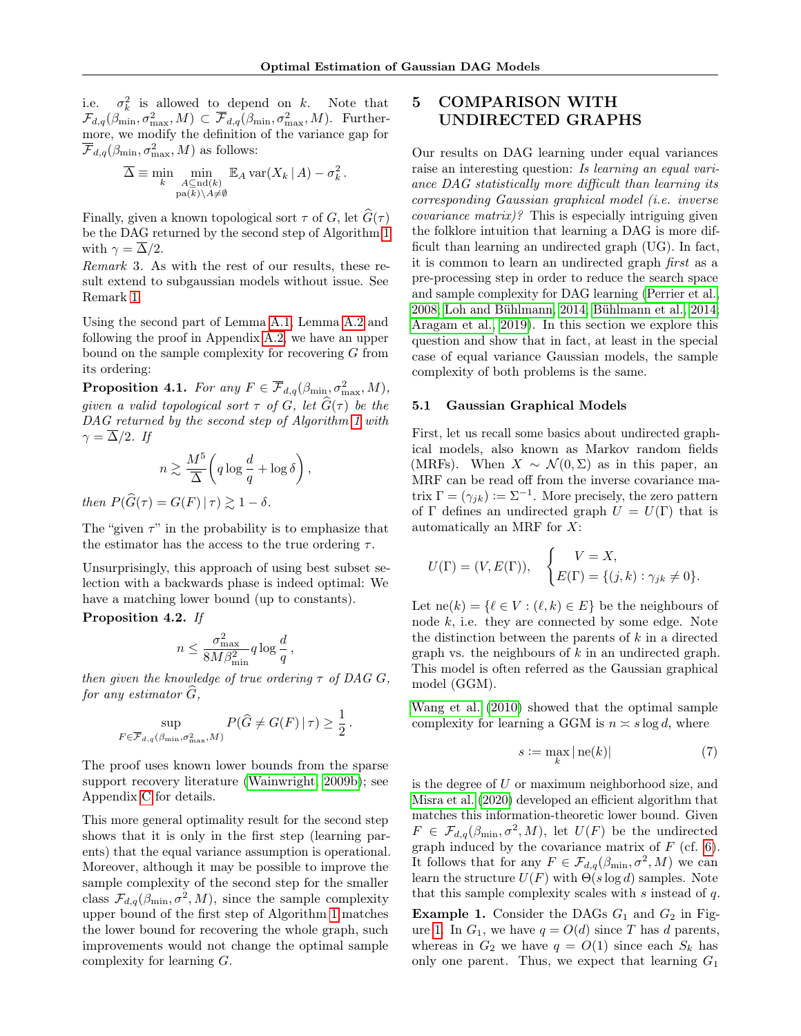i.e.  $\sigma_k^2$  is allowed to depend on k. Note that  $\mathcal{F}_{d,q}(\beta_{\min}, \sigma_{\max}^2, M) \subset \overline{\mathcal{F}}_{d,q}(\beta_{\min}, \sigma_{\max}^2, M)$ . Furthermore, we modify the definition of the variance gap for  $\overline{\mathcal{F}}_{d,q}(\beta_{\min}, \sigma_{\max}^2, M)$  as follows:

$$
\overline{\Delta} \equiv \min_{k} \min_{\substack{A \subseteq \text{nd}(k) \\ \text{pa}(k) \setminus A \neq \emptyset}} \mathbb{E}_{A} \text{var}(X_{k} | A) - \sigma_{k}^{2}.
$$

Finally, given a known topological sort  $\tau$  of G, let  $\hat{G}(\tau)$ be the DAG returned by the second step of Algorithm [1](#page-3-1) with  $\gamma = \overline{\Delta}/2$ .

Remark 3. As with the rest of our results, these result extend to subgaussian models without issue. See Remark [1.](#page-2-0)

Using the second part of Lemma [A.1,](#page-11-1) Lemma [A.2](#page-12-0) and following the proof in Appendix [A.2,](#page-13-0) we have an upper bound on the sample complexity for recovering G from its ordering:

**Proposition 4.1.** For any  $F \in \overline{\mathcal{F}}_{d,q}(\beta_{\min}, \sigma_{\max}^2, M),$ given a valid topological sort  $\tau$  of G, let  $\widehat{G}(\tau)$  be the DAG returned by the second step of Algorithm [1](#page-3-1) with  $\gamma = \Delta/2$ . If

$$
n \gtrsim \frac{M^5}{\overline{\Delta}} \bigg( q \log \frac{d}{q} + \log \delta \bigg) ,
$$

then  $P(\widehat{G}(\tau) = G(F) | \tau) \gtrsim 1 - \delta$ .

The "given  $\tau$ " in the probability is to emphasize that the estimator has the access to the true ordering  $\tau$ .

Unsurprisingly, this approach of using best subset selection with a backwards phase is indeed optimal: We have a matching lower bound (up to constants).

<span id="page-5-2"></span>Proposition 4.2. If

$$
n \leq \frac{\sigma_{\max}^2}{8M\beta_{\min}^2} q \log \frac{d}{q}\,,
$$

then given the knowledge of true ordering  $\tau$  of DAG G, for any estimator  $\ddot{G}$ ,

$$
\sup_{F \in \overline{\mathcal{F}}_{d,q}(\beta_{\min}, \sigma_{\max}^2, M)} P(\widehat{G} \neq G(F) | \tau) \ge \frac{1}{2}.
$$

The proof uses known lower bounds from the sparse support recovery literature [\(Wainwright, 2009b\)](#page-10-4); see Appendix [C](#page-16-0) for details.

This more general optimality result for the second step shows that it is only in the first step (learning parents) that the equal variance assumption is operational. Moreover, although it may be possible to improve the sample complexity of the second step for the smaller class  $\mathcal{F}_{d,q}(\beta_{\min}, \sigma^2, M)$ , since the sample complexity upper bound of the first step of Algorithm [1](#page-3-1) matches the lower bound for recovering the whole graph, such improvements would not change the optimal sample complexity for learning G.

# <span id="page-5-0"></span>5 COMPARISON WITH UNDIRECTED GRAPHS

Our results on DAG learning under equal variances raise an interesting question: Is learning an equal variance DAG statistically more difficult than learning its corresponding Gaussian graphical model (i.e. inverse covariance matrix)? This is especially intriguing given the folklore intuition that learning a DAG is more difficult than learning an undirected graph (UG). In fact, it is common to learn an undirected graph first as a pre-processing step in order to reduce the search space and sample complexity for DAG learning [\(Perrier et al.,](#page-9-23) [2008;](#page-9-23) [Loh and Bühlmann, 2014;](#page-9-15) [Bühlmann et al., 2014;](#page-8-8) [Aragam et al., 2019\)](#page-8-10). In this section we explore this question and show that in fact, at least in the special case of equal variance Gaussian models, the sample complexity of both problems is the same.

#### 5.1 Gaussian Graphical Models

First, let us recall some basics about undirected graphical models, also known as Markov random fields (MRFs). When  $X \sim \mathcal{N}(0, \Sigma)$  as in this paper, an MRF can be read off from the inverse covariance matrix  $\Gamma = (\gamma_{jk}) \vcentcolon= \Sigma^{-1}$ . More precisely, the zero pattern of  $\Gamma$  defines an undirected graph  $U = U(\Gamma)$  that is automatically an MRF for X:

$$
U(\Gamma) = (V, E(\Gamma)), \quad \begin{cases} V = X, \\ E(\Gamma) = \{(j,k) : \gamma_{jk} \neq 0\}. \end{cases}
$$

Let  $ne(k) = \{ \ell \in V : (\ell, k) \in E \}$  be the neighbours of node k, i.e. they are connected by some edge. Note the distinction between the parents of  $k$  in a directed graph vs. the neighbours of k in an undirected graph. This model is often referred as the Gaussian graphical model (GGM).

[Wang et al.](#page-10-2) [\(2010\)](#page-10-2) showed that the optimal sample complexity for learning a GGM is  $n \approx s \log d$ , where

$$
s := \max_{k} |\operatorname{ne}(k)| \tag{7}
$$

is the degree of  $U$  or maximum neighborhood size, and [Misra et al.](#page-9-11) [\(2020\)](#page-9-11) developed an efficient algorithm that matches this information-theoretic lower bound. Given  $F \in \mathcal{F}_{d,q}(\beta_{\min}, \sigma^2, M)$ , let  $U(F)$  be the undirected graph induced by the covariance matrix of  $F$  (cf. [6\)](#page-2-6). It follows that for any  $F \in \mathcal{F}_{d,q}(\beta_{\min}, \sigma^2, M)$  we can learn the structure  $U(F)$  with  $\Theta(s \log d)$  samples. Note that this sample complexity scales with s instead of q.

<span id="page-5-1"></span>**Example 1.** Consider the DAGs  $G_1$  and  $G_2$  in Fig-ure [1.](#page-6-0) In  $G_1$ , we have  $q = O(d)$  since T has d parents, whereas in  $G_2$  we have  $q = O(1)$  since each  $S_k$  has only one parent. Thus, we expect that learning  $G_1$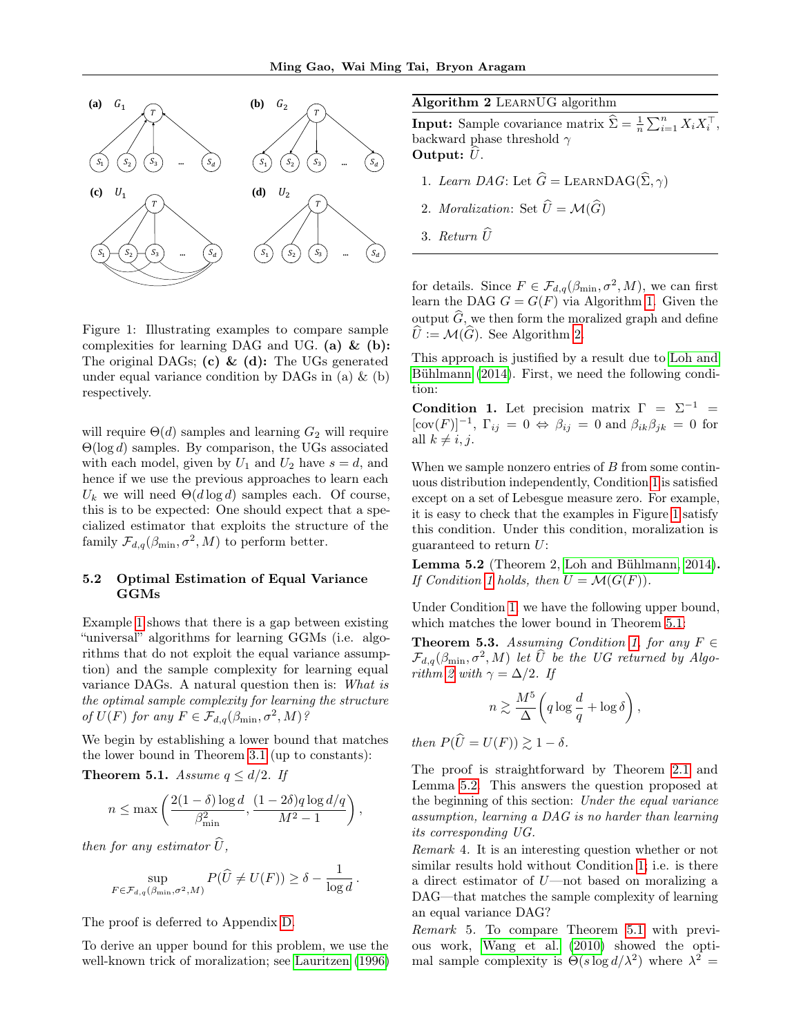

<span id="page-6-0"></span>Figure 1: Illustrating examples to compare sample complexities for learning DAG and UG. (a)  $\&$  (b): The original DAGs; (c) & (d): The UGs generated under equal variance condition by DAGs in (a)  $\&$  (b) respectively.

will require  $\Theta(d)$  samples and learning  $G_2$  will require  $\Theta(\log d)$  samples. By comparison, the UGs associated with each model, given by  $U_1$  and  $U_2$  have  $s = d$ , and hence if we use the previous approaches to learn each  $U_k$  we will need  $\Theta(d \log d)$  samples each. Of course, this is to be expected: One should expect that a specialized estimator that exploits the structure of the family  $\mathcal{F}_{d,q}(\beta_{\min}, \sigma^2, M)$  to perform better.

### 5.2 Optimal Estimation of Equal Variance GGMs

Example [1](#page-5-1) shows that there is a gap between existing "universal" algorithms for learning GGMs (i.e. algorithms that do not exploit the equal variance assumption) and the sample complexity for learning equal variance DAGs. A natural question then is: What is the optimal sample complexity for learning the structure of  $U(F)$  for any  $F \in \mathcal{F}_{d,q}(\beta_{\min}, \sigma^2, M)$ ?

We begin by establishing a lower bound that matches the lower bound in Theorem [3.1](#page-4-3) (up to constants):

<span id="page-6-3"></span>**Theorem 5.1.** Assume  $q \leq d/2$ . If

$$
n \le \max\left(\frac{2(1-\delta)\log d}{\beta_{\min}^2}, \frac{(1-2\delta)q\log d/q}{M^2-1}\right),\,
$$

then for any estimator  $\hat{U}$ ,

$$
\sup_{F \in \mathcal{F}_{d,q}(\beta_{\min}, \sigma^2, M)} P(\widehat{U} \neq U(F)) \geq \delta - \frac{1}{\log d}.
$$

The proof is deferred to Appendix [D.](#page-17-0)

To derive an upper bound for this problem, we use the well-known trick of moralization; see [Lauritzen](#page-9-24) [\(1996\)](#page-9-24)

Algorithm 2 LearnUG algorithm

<span id="page-6-1"></span>**Input:** Sample covariance matrix  $\hat{\Sigma} = \frac{1}{n} \sum_{i=1}^{n} X_i X_i^{\top}$ , backward phase threshold  $\gamma$ Output:  $U$ .

- 1. Learn DAG: Let  $\widehat{G} =$  LEARNDAG( $\widehat{\Sigma}, \gamma$ )
- 2. Moralization: Set  $\widehat{U} = \mathcal{M}(\widehat{G})$
- 3. Return  $\widehat{U}$

for details. Since  $F \in \mathcal{F}_{d,q}(\beta_{\min}, \sigma^2, M)$ , we can first learn the DAG  $G = G(F)$  via Algorithm [1.](#page-3-1) Given the output  $\widehat{G}$ , we then form the moralized graph and define  $\hat{U} := \mathcal{M}(\hat{G})$ . See Algorithm [2.](#page-6-1)

This approach is justified by a result due to [Loh and](#page-9-15) [Bühlmann](#page-9-15) [\(2014\)](#page-9-15). First, we need the following condition:

<span id="page-6-2"></span>Condition 1. Let precision matrix  $\Gamma = \Sigma^{-1}$  $[\text{cov}(F)]^{-1}$ ,  $\Gamma_{ij} = 0 \Leftrightarrow \beta_{ij} = 0$  and  $\beta_{ik}\beta_{jk} = 0$  for all  $k \neq i, j$ .

When we sample nonzero entries of  $B$  from some continuous distribution independently, Condition [1](#page-6-2) is satisfied except on a set of Lebesgue measure zero. For example, it is easy to check that the examples in Figure [1](#page-6-0) satisfy this condition. Under this condition, moralization is guaranteed to return U:

<span id="page-6-4"></span>Lemma 5.2 (Theorem 2, [Loh and Bühlmann, 2014\)](#page-9-15). If Condition [1](#page-6-2) holds, then  $U = \mathcal{M}(G(F))$ .

Under Condition [1,](#page-6-2) we have the following upper bound, which matches the lower bound in Theorem [5.1:](#page-6-3)

**Theorem 5.3.** Assuming Condition [1,](#page-6-2) for any  $F \in$  $\mathcal{F}_{d,q}(\beta_{\min}, \sigma^2, M)$  let  $\widehat{U}$  be the UG returned by Algo-rithm [2](#page-6-1) with  $\gamma = \Delta/2$ . If

$$
n \gtrsim \frac{M^5}{\Delta} \bigg( q \log \frac{d}{q} + \log \delta \bigg) \,,
$$

then  $P(\widehat{U} = U(F)) \geq 1 - \delta$ .

The proof is straightforward by Theorem [2.1](#page-3-2) and Lemma [5.2.](#page-6-4) This answers the question proposed at the beginning of this section: Under the equal variance assumption, learning a DAG is no harder than learning its corresponding UG.

<span id="page-6-5"></span>Remark 4. It is an interesting question whether or not similar results hold without Condition [1;](#page-6-2) i.e. is there a direct estimator of U—not based on moralizing a DAG—that matches the sample complexity of learning an equal variance DAG?

Remark 5. To compare Theorem [5.1](#page-6-3) with previous work, [Wang et al.](#page-10-2) [\(2010\)](#page-10-2) showed the optimal sample complexity is  $\Theta(s \log d/\lambda^2)$  where  $\lambda^2 =$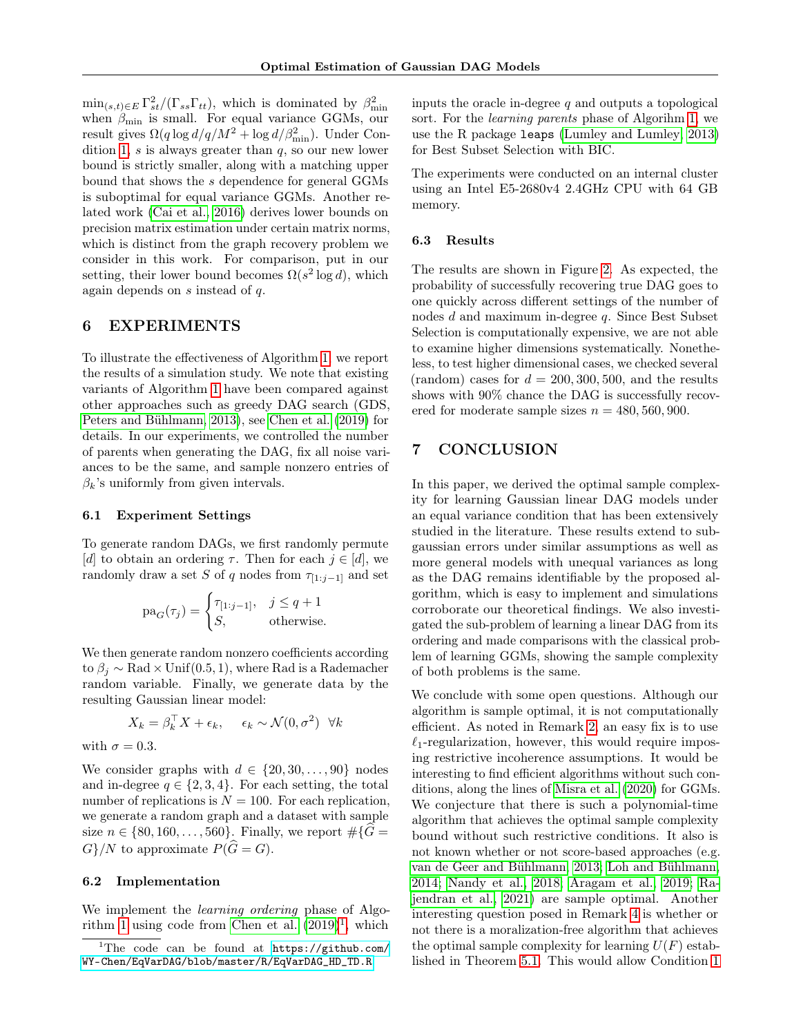$\min_{(s,t)\in E} \Gamma_{st}^2/(\Gamma_{ss}\Gamma_{tt}),$  which is dominated by  $\beta_{\min}^2$ when  $\beta_{\min}$  is small. For equal variance GGMs, our result gives  $\Omega(q \log d/q/M^2 + \log d/\beta_{\min}^2)$ . Under Con-dition [1,](#page-6-2)  $s$  is always greater than  $q$ , so our new lower bound is strictly smaller, along with a matching upper bound that shows the s dependence for general GGMs is suboptimal for equal variance GGMs. Another related work [\(Cai et al., 2016\)](#page-8-12) derives lower bounds on precision matrix estimation under certain matrix norms, which is distinct from the graph recovery problem we consider in this work. For comparison, put in our setting, their lower bound becomes  $\Omega(s^2 \log d)$ , which again depends on s instead of q.

# <span id="page-7-0"></span>6 EXPERIMENTS

To illustrate the effectiveness of Algorithm [1,](#page-3-1) we report the results of a simulation study. We note that existing variants of Algorithm [1](#page-3-1) have been compared against other approaches such as greedy DAG search (GDS, [Peters and Bühlmann, 2013\)](#page-9-6), see [Chen et al.](#page-8-2) [\(2019\)](#page-8-2) for details. In our experiments, we controlled the number of parents when generating the DAG, fix all noise variances to be the same, and sample nonzero entries of  $\beta_k$ 's uniformly from given intervals.

### 6.1 Experiment Settings

To generate random DAGs, we first randomly permute [d] to obtain an ordering  $\tau$ . Then for each  $i \in [d]$ , we randomly draw a set S of q nodes from  $\tau_{[1:j-1]}$  and set

$$
\text{pa}_G(\tau_j) = \begin{cases} \tau_{[1:j-1]}, & j \leq q+1 \\ S, & \text{otherwise.} \end{cases}
$$

We then generate random nonzero coefficients according to  $\beta_i \sim \text{Rad} \times \text{Unif}(0.5, 1)$ , where Rad is a Rademacher random variable. Finally, we generate data by the resulting Gaussian linear model:

$$
X_k = \beta_k^\top X + \epsilon_k, \quad \epsilon_k \sim \mathcal{N}(0, \sigma^2) \ \forall k
$$

with  $\sigma = 0.3$ .

We consider graphs with  $d \in \{20, 30, \ldots, 90\}$  nodes and in-degree  $q \in \{2, 3, 4\}$ . For each setting, the total number of replications is  $N = 100$ . For each replication, we generate a random graph and a dataset with sample size  $n \in \{80, 160, \ldots, 560\}$ . Finally, we report  $\#\{G =$  $G$ }/N to approximate  $P(\widehat{G} = G)$ .

### 6.2 Implementation

We implement the *learning ordering* phase of Algo-rithm [1](#page-3-1) using code from [Chen et al.](#page-8-2)  $(2019)^1$  $(2019)^1$  $(2019)^1$ , which

inputs the oracle in-degree  $q$  and outputs a topological sort. For the learning parents phase of Algorihm [1,](#page-3-1) we use the R package leaps [\(Lumley and Lumley, 2013\)](#page-9-25) for Best Subset Selection with BIC.

The experiments were conducted on an internal cluster using an Intel E5-2680v4 2.4GHz CPU with 64 GB memory.

#### 6.3 Results

The results are shown in Figure [2.](#page-8-13) As expected, the probability of successfully recovering true DAG goes to one quickly across different settings of the number of nodes  $d$  and maximum in-degree  $q$ . Since Best Subset Selection is computationally expensive, we are not able to examine higher dimensions systematically. Nonetheless, to test higher dimensional cases, we checked several (random) cases for  $d = 200, 300, 500$ , and the results shows with 90% chance the DAG is successfully recovered for moderate sample sizes  $n = 480, 560, 900$ .

# <span id="page-7-1"></span>7 CONCLUSION

In this paper, we derived the optimal sample complexity for learning Gaussian linear DAG models under an equal variance condition that has been extensively studied in the literature. These results extend to subgaussian errors under similar assumptions as well as more general models with unequal variances as long as the DAG remains identifiable by the proposed algorithm, which is easy to implement and simulations corroborate our theoretical findings. We also investigated the sub-problem of learning a linear DAG from its ordering and made comparisons with the classical problem of learning GGMs, showing the sample complexity of both problems is the same.

We conclude with some open questions. Although our algorithm is sample optimal, it is not computationally efficient. As noted in Remark [2,](#page-4-1) an easy fix is to use  $\ell_1$ -regularization, however, this would require imposing restrictive incoherence assumptions. It would be interesting to find efficient algorithms without such conditions, along the lines of [Misra et al.](#page-9-11) [\(2020\)](#page-9-11) for GGMs. We conjecture that there is such a polynomial-time algorithm that achieves the optimal sample complexity bound without such restrictive conditions. It also is not known whether or not score-based approaches (e.g. [van de Geer and Bühlmann, 2013;](#page-9-14) [Loh and Bühlmann,](#page-9-15) [2014;](#page-9-15) [Nandy et al., 2018;](#page-9-17) [Aragam et al., 2019;](#page-8-10) [Ra](#page-9-19)[jendran et al., 2021\)](#page-9-19) are sample optimal. Another interesting question posed in Remark [4](#page-6-5) is whether or not there is a moralization-free algorithm that achieves the optimal sample complexity for learning  $U(F)$  established in Theorem [5.1.](#page-6-3) This would allow Condition [1](#page-6-2)

<span id="page-7-2"></span><sup>&</sup>lt;sup>1</sup>The code can be found at [https://github.com/](https://github.com/WY-Chen/EqVarDAG/blob/master/R/EqVarDAG_HD_TD.R) [WY-Chen/EqVarDAG/blob/master/R/EqVarDAG\\_HD\\_TD.R](https://github.com/WY-Chen/EqVarDAG/blob/master/R/EqVarDAG_HD_TD.R).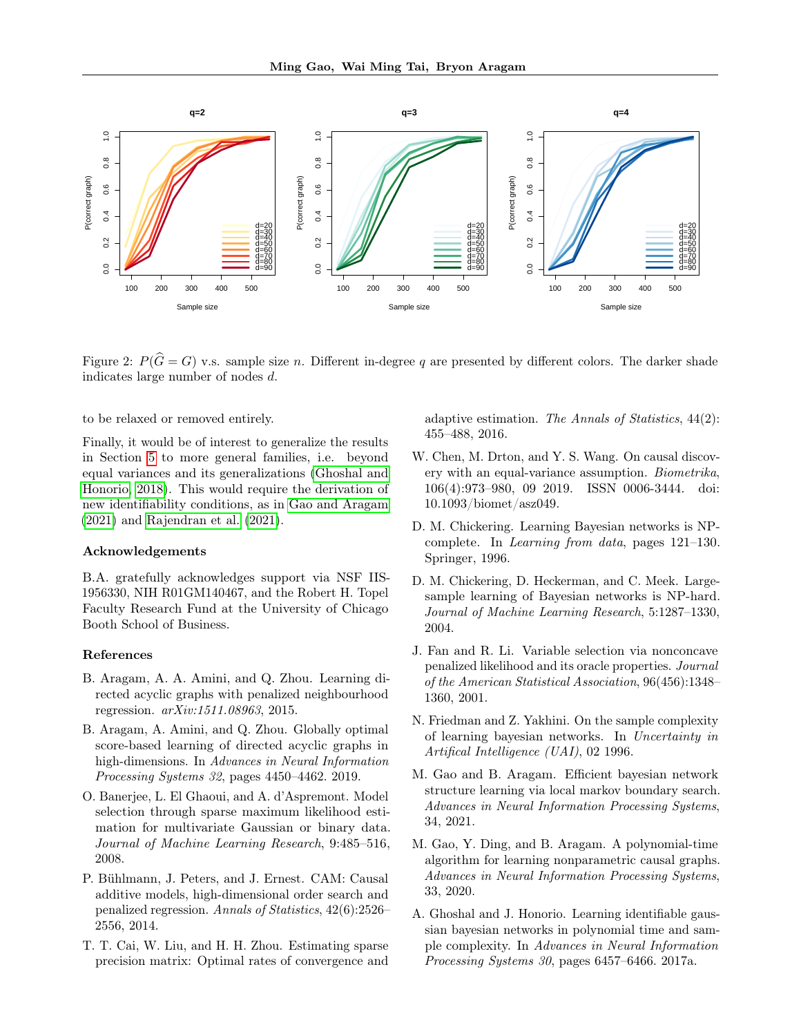

Figure 2:  $P(\hat{G} = G)$  v.s. sample size n. Different in-degree q are presented by different colors. The darker shade indicates large number of nodes d.

to be relaxed or removed entirely.

Finally, it would be of interest to generalize the results in Section [5](#page-5-0) to more general families, i.e. beyond equal variances and its generalizations [\(Ghoshal and](#page-9-0) [Honorio, 2018\)](#page-9-0). This would require the derivation of new identifiability conditions, as in [Gao and Aragam](#page-8-4) [\(2021\)](#page-8-4) and [Rajendran et al.](#page-9-19) [\(2021\)](#page-9-19).

#### Acknowledgements

B.A. gratefully acknowledges support via NSF IIS-1956330, NIH R01GM140467, and the Robert H. Topel Faculty Research Fund at the University of Chicago Booth School of Business.

#### References

- <span id="page-8-9"></span>B. Aragam, A. A. Amini, and Q. Zhou. Learning directed acyclic graphs with penalized neighbourhood regression. arXiv:1511.08963, 2015.
- <span id="page-8-10"></span>B. Aragam, A. Amini, and Q. Zhou. Globally optimal score-based learning of directed acyclic graphs in high-dimensions. In Advances in Neural Information Processing Systems 32, pages 4450–4462. 2019.
- <span id="page-8-7"></span>O. Banerjee, L. El Ghaoui, and A. d'Aspremont. Model selection through sparse maximum likelihood estimation for multivariate Gaussian or binary data. Journal of Machine Learning Research, 9:485–516, 2008.
- <span id="page-8-8"></span>P. Bühlmann, J. Peters, and J. Ernest. CAM: Causal additive models, high-dimensional order search and penalized regression. Annals of Statistics, 42(6):2526– 2556, 2014.
- <span id="page-8-12"></span>T. T. Cai, W. Liu, and H. H. Zhou. Estimating sparse precision matrix: Optimal rates of convergence and

<span id="page-8-13"></span>adaptive estimation. The Annals of Statistics, 44(2): 455–488, 2016.

- <span id="page-8-2"></span>W. Chen, M. Drton, and Y. S. Wang. On causal discovery with an equal-variance assumption. Biometrika, 106(4):973–980, 09 2019. ISSN 0006-3444. doi: 10.1093/biomet/asz049.
- <span id="page-8-5"></span>D. M. Chickering. Learning Bayesian networks is NPcomplete. In Learning from data, pages 121–130. Springer, 1996.
- <span id="page-8-6"></span>D. M. Chickering, D. Heckerman, and C. Meek. Largesample learning of Bayesian networks is NP-hard. Journal of Machine Learning Research, 5:1287–1330, 2004.
- <span id="page-8-11"></span>J. Fan and R. Li. Variable selection via nonconcave penalized likelihood and its oracle properties. Journal of the American Statistical Association, 96(456):1348– 1360, 2001.
- <span id="page-8-0"></span>N. Friedman and Z. Yakhini. On the sample complexity of learning bayesian networks. In Uncertainty in Artifical Intelligence (UAI), 02 1996.
- <span id="page-8-4"></span>M. Gao and B. Aragam. Efficient bayesian network structure learning via local markov boundary search. Advances in Neural Information Processing Systems, 34, 2021.
- <span id="page-8-3"></span>M. Gao, Y. Ding, and B. Aragam. A polynomial-time algorithm for learning nonparametric causal graphs. Advances in Neural Information Processing Systems, 33, 2020.
- <span id="page-8-1"></span>A. Ghoshal and J. Honorio. Learning identifiable gaussian bayesian networks in polynomial time and sample complexity. In Advances in Neural Information Processing Systems 30, pages 6457–6466. 2017a.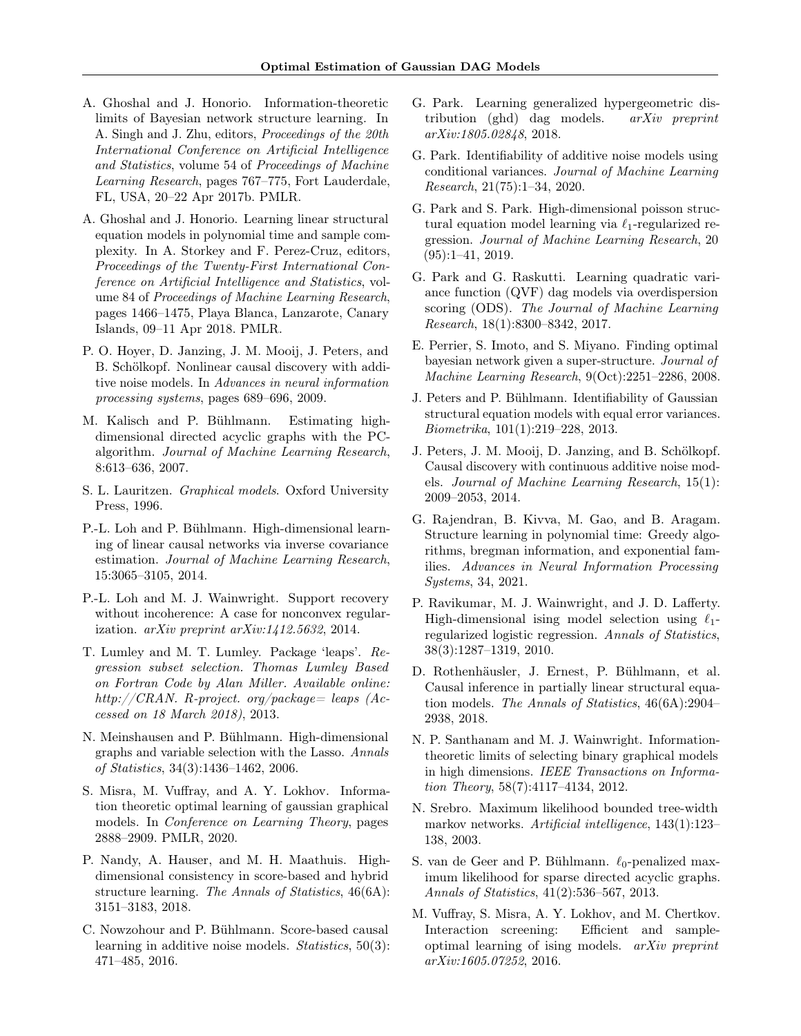- <span id="page-9-21"></span>A. Ghoshal and J. Honorio. Information-theoretic limits of Bayesian network structure learning. In A. Singh and J. Zhu, editors, Proceedings of the 20th International Conference on Artificial Intelligence and Statistics, volume 54 of Proceedings of Machine Learning Research, pages 767–775, Fort Lauderdale, FL, USA, 20–22 Apr 2017b. PMLR.
- <span id="page-9-0"></span>A. Ghoshal and J. Honorio. Learning linear structural equation models in polynomial time and sample complexity. In A. Storkey and F. Perez-Cruz, editors, Proceedings of the Twenty-First International Conference on Artificial Intelligence and Statistics, volume 84 of Proceedings of Machine Learning Research, pages 1466–1475, Playa Blanca, Lanzarote, Canary Islands, 09–11 Apr 2018. PMLR.
- <span id="page-9-12"></span>P. O. Hoyer, D. Janzing, J. M. Mooij, J. Peters, and B. Schölkopf. Nonlinear causal discovery with additive noise models. In Advances in neural information processing systems, pages 689–696, 2009.
- <span id="page-9-20"></span>M. Kalisch and P. Bühlmann. Estimating highdimensional directed acyclic graphs with the PCalgorithm. Journal of Machine Learning Research, 8:613–636, 2007.
- <span id="page-9-24"></span>S. L. Lauritzen. Graphical models. Oxford University Press, 1996.
- <span id="page-9-15"></span>P.-L. Loh and P. Bühlmann. High-dimensional learning of linear causal networks via inverse covariance estimation. Journal of Machine Learning Research, 15:3065–3105, 2014.
- <span id="page-9-22"></span>P.-L. Loh and M. J. Wainwright. Support recovery without incoherence: A case for nonconvex regularization.  $arXiv$  preprint  $arXiv:1/42.5632$ , 2014.
- <span id="page-9-25"></span>T. Lumley and M. T. Lumley. Package 'leaps'. Regression subset selection. Thomas Lumley Based on Fortran Code by Alan Miller. Available online: http://CRAN. R-project. org/package= leaps (Accessed on 18 March 2018), 2013.
- <span id="page-9-8"></span>N. Meinshausen and P. Bühlmann. High-dimensional graphs and variable selection with the Lasso. Annals of Statistics, 34(3):1436–1462, 2006.
- <span id="page-9-11"></span>S. Misra, M. Vuffray, and A. Y. Lokhov. Information theoretic optimal learning of gaussian graphical models. In Conference on Learning Theory, pages 2888–2909. PMLR, 2020.
- <span id="page-9-17"></span>P. Nandy, A. Hauser, and M. H. Maathuis. Highdimensional consistency in score-based and hybrid structure learning. The Annals of Statistics, 46(6A): 3151–3183, 2018.
- <span id="page-9-16"></span>C. Nowzohour and P. Bühlmann. Score-based causal learning in additive noise models. Statistics, 50(3): 471–485, 2016.
- <span id="page-9-2"></span>G. Park. Learning generalized hypergeometric distribution (ghd) dag models. arXiv preprint arXiv:1805.02848, 2018.
- <span id="page-9-4"></span>G. Park. Identifiability of additive noise models using conditional variances. Journal of Machine Learning Research, 21(75):1–34, 2020.
- <span id="page-9-3"></span>G. Park and S. Park. High-dimensional poisson structural equation model learning via  $\ell_1$ -regularized regression. Journal of Machine Learning Research, 20 (95):1–41, 2019.
- <span id="page-9-1"></span>G. Park and G. Raskutti. Learning quadratic variance function (QVF) dag models via overdispersion scoring (ODS). The Journal of Machine Learning Research, 18(1):8300–8342, 2017.
- <span id="page-9-23"></span>E. Perrier, S. Imoto, and S. Miyano. Finding optimal bayesian network given a super-structure. Journal of Machine Learning Research, 9(Oct):2251–2286, 2008.
- <span id="page-9-6"></span>J. Peters and P. Bühlmann. Identifiability of Gaussian structural equation models with equal error variances. Biometrika, 101(1):219–228, 2013.
- <span id="page-9-13"></span>J. Peters, J. M. Mooij, D. Janzing, and B. Schölkopf. Causal discovery with continuous additive noise models. Journal of Machine Learning Research, 15(1): 2009–2053, 2014.
- <span id="page-9-19"></span>G. Rajendran, B. Kivva, M. Gao, and B. Aragam. Structure learning in polynomial time: Greedy algorithms, bregman information, and exponential families. Advances in Neural Information Processing Systems, 34, 2021.
- <span id="page-9-9"></span>P. Ravikumar, M. J. Wainwright, and J. D. Lafferty. High-dimensional ising model selection using  $\ell_1$ regularized logistic regression. Annals of Statistics, 38(3):1287–1319, 2010.
- <span id="page-9-18"></span>D. Rothenhäusler, J. Ernest, P. Bühlmann, et al. Causal inference in partially linear structural equation models. The Annals of Statistics, 46(6A):2904– 2938, 2018.
- <span id="page-9-5"></span>N. P. Santhanam and M. J. Wainwright. Informationtheoretic limits of selecting binary graphical models in high dimensions. IEEE Transactions on Information Theory, 58(7):4117–4134, 2012.
- <span id="page-9-7"></span>N. Srebro. Maximum likelihood bounded tree-width markov networks. Artificial intelligence, 143(1):123– 138, 2003.
- <span id="page-9-14"></span>S. van de Geer and P. Bühlmann.  $\ell_0$ -penalized maximum likelihood for sparse directed acyclic graphs. Annals of Statistics, 41(2):536–567, 2013.
- <span id="page-9-10"></span>M. Vuffray, S. Misra, A. Y. Lokhov, and M. Chertkov. Interaction screening: Efficient and sampleoptimal learning of ising models. arXiv preprint arXiv:1605.07252, 2016.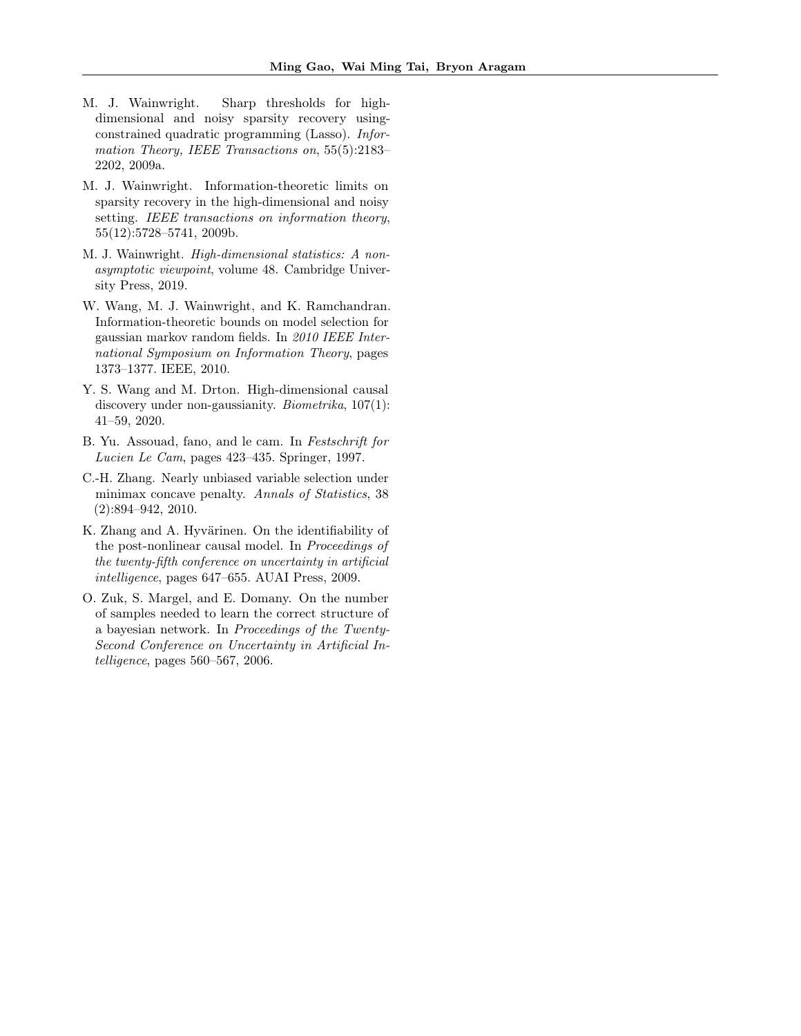- <span id="page-10-3"></span>M. J. Wainwright. Sharp thresholds for highdimensional and noisy sparsity recovery usingconstrained quadratic programming (Lasso). Information Theory, IEEE Transactions on, 55(5):2183– 2202, 2009a.
- <span id="page-10-4"></span>M. J. Wainwright. Information-theoretic limits on sparsity recovery in the high-dimensional and noisy setting. IEEE transactions on information theory, 55(12):5728–5741, 2009b.
- <span id="page-10-7"></span>M. J. Wainwright. High-dimensional statistics: A nonasymptotic viewpoint, volume 48. Cambridge University Press, 2019.
- <span id="page-10-2"></span>W. Wang, M. J. Wainwright, and K. Ramchandran. Information-theoretic bounds on model selection for gaussian markov random fields. In 2010 IEEE International Symposium on Information Theory, pages 1373–1377. IEEE, 2010.
- <span id="page-10-1"></span>Y. S. Wang and M. Drton. High-dimensional causal discovery under non-gaussianity. Biometrika, 107(1): 41–59, 2020.
- <span id="page-10-8"></span>B. Yu. Assouad, fano, and le cam. In Festschrift for Lucien Le Cam, pages 423–435. Springer, 1997.
- <span id="page-10-6"></span>C.-H. Zhang. Nearly unbiased variable selection under minimax concave penalty. Annals of Statistics, 38 (2):894–942, 2010.
- <span id="page-10-5"></span>K. Zhang and A. Hyvärinen. On the identifiability of the post-nonlinear causal model. In Proceedings of the twenty-fifth conference on uncertainty in artificial intelligence, pages 647–655. AUAI Press, 2009.
- <span id="page-10-0"></span>O. Zuk, S. Margel, and E. Domany. On the number of samples needed to learn the correct structure of a bayesian network. In Proceedings of the Twenty-Second Conference on Uncertainty in Artificial Intelligence, pages 560–567, 2006.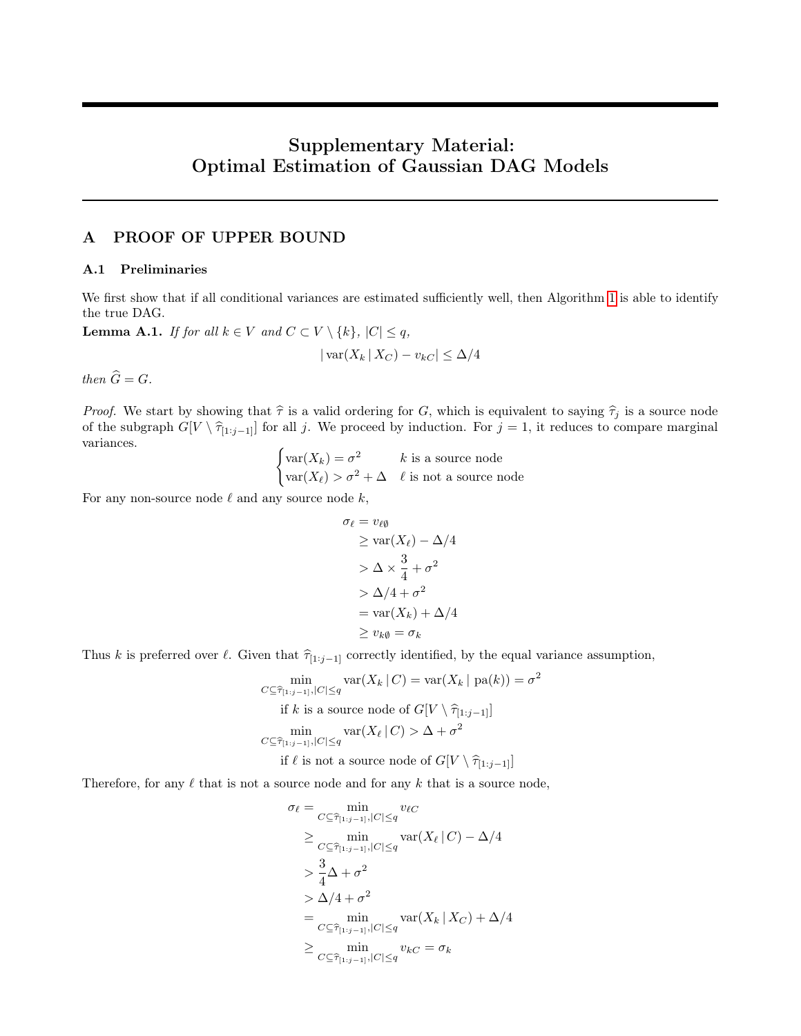# Supplementary Material: Optimal Estimation of Gaussian DAG Models

# <span id="page-11-0"></span>A PROOF OF UPPER BOUND

### A.1 Preliminaries

We first show that if all conditional variances are estimated sufficiently well, then Algorithm [1](#page-3-1) is able to identify the true DAG.

<span id="page-11-1"></span>**Lemma A.1.** If for all  $k \in V$  and  $C \subset V \setminus \{k\}$ ,  $|C| \leq q$ ,

$$
|\operatorname{var}(X_k | X_C) - v_{kC}| \le \Delta/4
$$

then  $\widehat{G} = G$ .

*Proof.* We start by showing that  $\hat{\tau}$  is a valid ordering for G, which is equivalent to saying  $\hat{\tau}_j$  is a source node of the subgraph  $G[V \setminus \hat{\tau}_{[1:j-1]}]$  for all j. We proceed by induction. For  $j = 1$ , it reduces to compare marginal variances.

 $\int \text{var}(X_k) = \sigma^2$  k is a source node  $var(X_\ell) > \sigma^2 + \Delta \quad \ell$  is not a source node

For any non-source node  $\ell$  and any source node  $k$ ,

$$
\sigma_{\ell} = v_{\ell\emptyset}
$$
\n
$$
\geq \text{var}(X_{\ell}) - \Delta/4
$$
\n
$$
> \Delta \times \frac{3}{4} + \sigma^2
$$
\n
$$
> \Delta/4 + \sigma^2
$$
\n
$$
= \text{var}(X_k) + \Delta/4
$$
\n
$$
\geq v_{k\emptyset} = \sigma_k
$$

Thus k is preferred over  $\ell$ . Given that  $\hat{\tau}_{[1:j-1]}$  correctly identified, by the equal variance assumption,

$$
\min_{C \subseteq \widehat{\tau}_{[1:j-1]}, |C| \le q} \text{var}(X_k | C) = \text{var}(X_k | \text{pa}(k)) = \sigma^2
$$
\nif  $k$  is a source node of  $G[V \setminus \widehat{\tau}_{[1:j-1]}]$ 

\n
$$
\min_{C \subseteq \widehat{\tau}_{[1:j-1]}, |C| \le q} \text{var}(X_\ell | C) > \Delta + \sigma^2
$$

\nif  $\ell$  is not a source node of  $G[V \setminus \widehat{\tau}_{[1:j-1]}]$ 

Therefore, for any  $\ell$  that is not a source node and for any k that is a source node,

$$
\sigma_{\ell} = \min_{C \subseteq \widehat{\tau}_{[1:j-1]}, |C| \le q} v_{\ell C}
$$
\n
$$
\ge \min_{C \subseteq \widehat{\tau}_{[1:j-1]}, |C| \le q} \text{var}(X_{\ell} | C) - \Delta/4
$$
\n
$$
> \frac{3}{4}\Delta + \sigma^2
$$
\n
$$
> \Delta/4 + \sigma^2
$$
\n
$$
= \min_{C \subseteq \widehat{\tau}_{[1:j-1]}, |C| \le q} \text{var}(X_k | X_C) + \Delta/4
$$
\n
$$
\ge \min_{C \subseteq \widehat{\tau}_{[1:j-1]}, |C| \le q} v_{kC} = \sigma_k
$$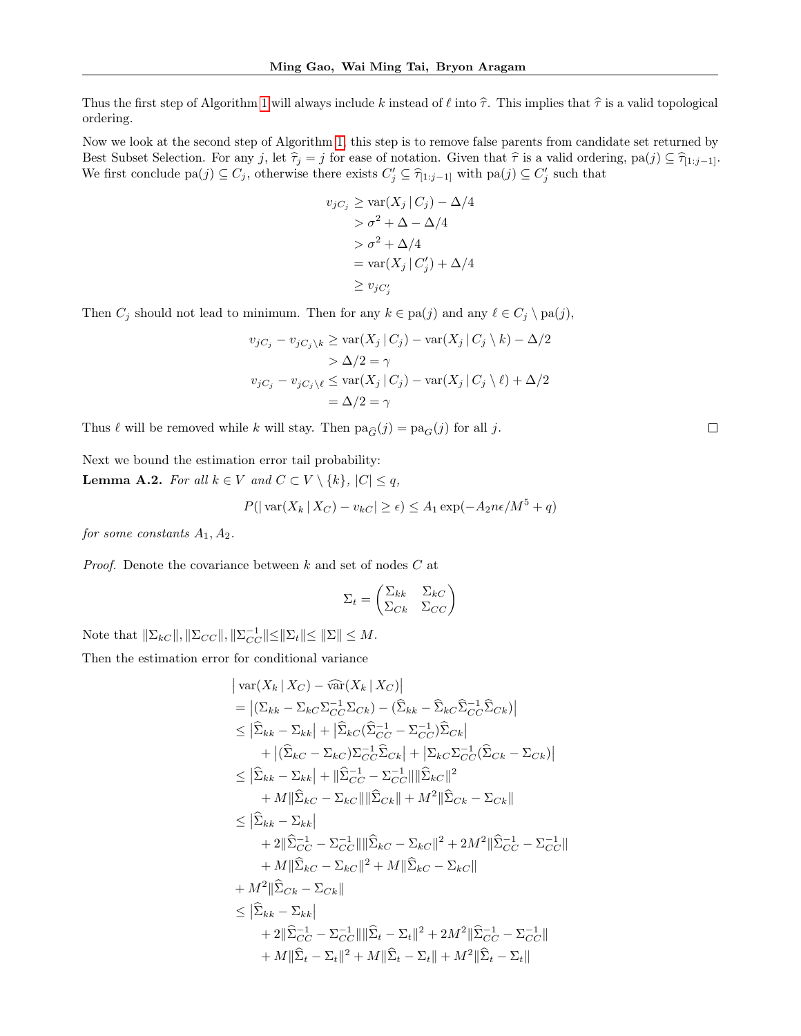Thus the first step of Algorithm [1](#page-3-1) will always include k instead of  $\ell$  into  $\hat{\tau}$ . This implies that  $\hat{\tau}$  is a valid topological ordering.

Now we look at the second step of Algorithm [1,](#page-3-1) this step is to remove false parents from candidate set returned by Best Subset Selection. For any j, let  $\hat{\tau}_j = j$  for ease of notation. Given that  $\hat{\tau}$  is a valid ordering, pa(j) ⊆  $\hat{\tau}_{[1:j-1]}$ . We first conclude  $pa(j) \subseteq C_j$ , otherwise there exists  $C'_j \subseteq \hat{\tau}_{[1:j-1]}$  with  $pa(j) \subseteq C'_j$  such that

$$
v_{jC_j} \ge \text{var}(X_j | C_j) - \Delta/4
$$
  
>  $\sigma^2 + \Delta - \Delta/4$   
>  $\sigma^2 + \Delta/4$   
=  $\text{var}(X_j | C'_j) + \Delta/4$   
 $\ge v_{jC'_j}$ 

Then  $C_j$  should not lead to minimum. Then for any  $k \in \text{pa}(j)$  and any  $\ell \in C_j \setminus \text{pa}(j)$ ,

$$
v_{jC_j} - v_{jC_j \setminus k} \ge \text{var}(X_j | C_j) - \text{var}(X_j | C_j \setminus k) - \Delta/2
$$
  
>  $\Delta/2 = \gamma$   

$$
v_{jC_j} - v_{jC_j \setminus \ell} \le \text{var}(X_j | C_j) - \text{var}(X_j | C_j \setminus \ell) + \Delta/2
$$
  
=  $\Delta/2 = \gamma$ 

Thus  $\ell$  will be removed while k will stay. Then  $pa_{\widehat{G}}(j) = pa_G(j)$  for all j.

Next we bound the estimation error tail probability:

<span id="page-12-0"></span>**Lemma A.2.** For all  $k \in V$  and  $C \subset V \setminus \{k\}$ ,  $|C| \leq q$ ,

$$
P(|\operatorname{var}(X_k | X_C) - v_{kC}| \ge \epsilon) \le A_1 \exp(-A_2 n \epsilon / M^5 + q)
$$

for some constants  $A_1, A_2$ .

Proof. Denote the covariance between k and set of nodes C at

$$
\Sigma_t = \begin{pmatrix} \Sigma_{kk} & \Sigma_{kC} \\ \Sigma_{Ck} & \Sigma_{CC} \end{pmatrix}
$$

Note that  $\|\Sigma_{kC}\|, \|\Sigma_{CC}\|, \|\Sigma_{CC}^{-1}\| \le \|\Sigma_t\| \le \|\Sigma\| \le M$ .

Then the estimation error for conditional variance

$$
\begin{aligned}\n&\left|\operatorname{var}(X_k \mid X_C) - \widehat{\operatorname{var}}(X_k \mid X_C)\right| \\
&= \left|\left(\sum_{kk} - \sum_{kC} \sum_{C}^{-1} \sum_{Ck}\right) - \left(\widehat{\sum}_{kk} - \widehat{\sum}_{kC} \widehat{\sum}_{CC}^{-1} \widehat{\sum}_{Ck}\right)\right| \\
&\leq \left|\widehat{\sum}_{kk} - \sum_{kk}\right| + \left|\widehat{\sum}_{kC} (\widehat{\sum}_{CC}^{-1} - \Sigma_{CC}^{-1}) \widehat{\sum}_{Ck}\right| \\
&+ \left|\left(\widehat{\sum}_{kC} - \sum_{kC}\right) \sum_{CC}^{-1} \widehat{\sum}_{Ck}\right| + \left|\sum_{kC} \sum_{CC}^{-1} (\widehat{\sum}_{Ck} - \Sigma_{Ck})\right| \\
&\leq \left|\widehat{\sum}_{kk} - \sum_{kk}\right| + \left|\widehat{\sum}_{C}^{-1} - \sum_{C}^{-1}\right| \left|\widehat{\sum}_{kC}\right|^{2} \\
&+ M \|\widehat{\sum}_{kC} - \sum_{kC}\right| \|\widehat{\sum}_{Ck}\right| + M^{2} \|\widehat{\sum}_{Ck} - \sum_{Ck}\right| \\
&\leq \left|\widehat{\sum}_{kk} - \sum_{kk}\right| \\
&+ 2 \|\widehat{\sum}_{CC}^{-1} - \sum_{CC}^{-1}\right| \|\widehat{\sum}_{kC} - \sum_{kC}\right|^{2} + 2M^{2} \|\widehat{\sum}_{CC}^{-1} - \sum_{CC}^{-1}\right| \\
&+ M \|\widehat{\sum}_{kC} - \sum_{kC}\right|^{2} + M \|\widehat{\sum}_{kC} - \sum_{kC}\right| \\
&+ M^{2} \|\widehat{\sum}_{Ck} - \sum_{ckl}\| \\
&\leq \left|\widehat{\sum}_{kk} - \sum_{kk}\right| \\
&+ 2 \|\widehat{\sum}_{CC}^{-1} - \sum_{CC}\right| \|\widehat{\sum}_{t} - \sum_{t}\right|^{2} + 2M^{2} \|\widehat{\sum}_{CC}^{-1} - \sum_{CC}^{-1}\| \\
&+ M \|\widehat{\sum}_{t} - \sum_{t} \right|^{2} + M \|\widehat{\sum}_{t} - \sum_{t}\right|^{2} + M^{2} \|\widehat{\sum}_{t}^{-1} - \sum_{C}^{-1}\| \\
&+ M \|\widehat{\sum}_{
$$

 $\Box$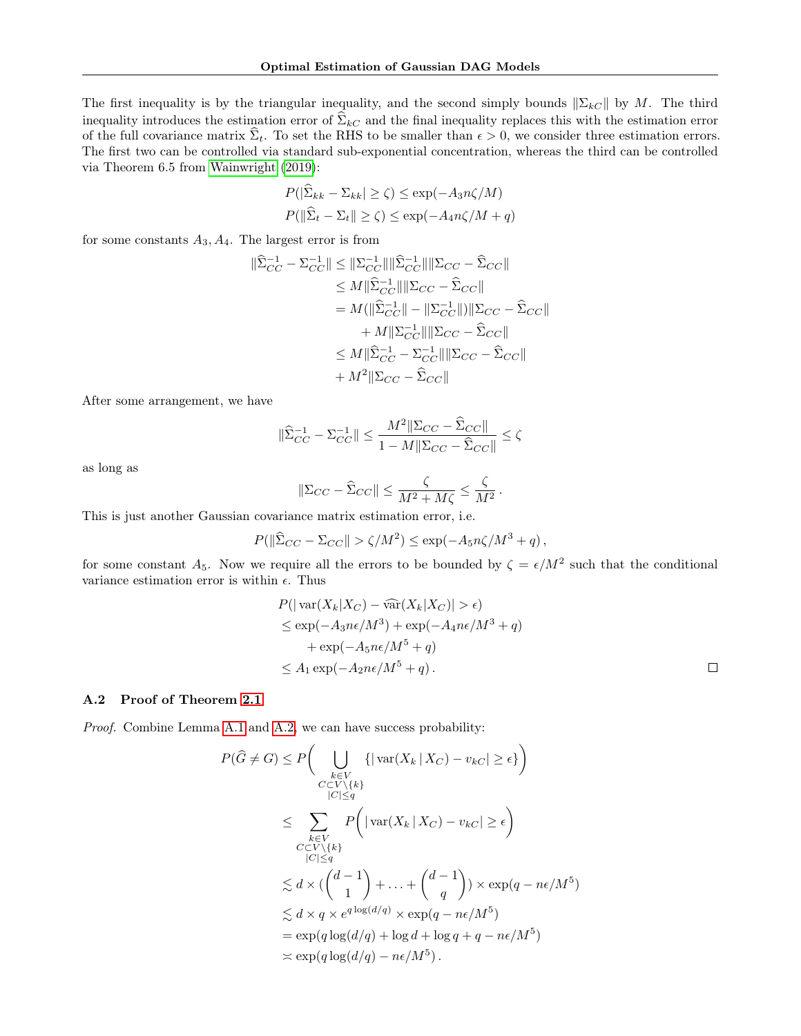The first inequality is by the triangular inequality, and the second simply bounds  $\|\Sigma_{k}\|$  by M. The third inequality introduces the estimation error of  $\widehat{\Sigma}_{kC}$  and the final inequality replaces this with the estimation error of the full covariance matrix  $\hat{\Sigma}_t$ . To set the RHS to be smaller than  $\epsilon > 0$ , we consider three estimation errors. The first two can be controlled via standard sub-exponential concentration, whereas the third can be controlled via Theorem 6.5 from [Wainwright](#page-10-7) [\(2019\)](#page-10-7):

$$
P(|\widehat{\Sigma}_{kk} - \Sigma_{kk}| \ge \zeta) \le \exp(-A_3 n\zeta/M)
$$

$$
P(\|\widehat{\Sigma}_t - \Sigma_t\| \ge \zeta) \le \exp(-A_4 n\zeta/M + q)
$$

for some constants  $A_3, A_4$ . The largest error is from

$$
\|\hat{\Sigma}_{CC}^{-1} - \Sigma_{CC}^{-1}\| \leq \|\Sigma_{CC}^{-1}\| \|\hat{\Sigma}_{CC}^{-1}\| \|\Sigma_{CC} - \hat{\Sigma}_{CC}\|
$$
  
\n
$$
\leq M \|\hat{\Sigma}_{CC}^{-1}\| \|\Sigma_{CC} - \hat{\Sigma}_{CC}\|
$$
  
\n
$$
= M (\|\hat{\Sigma}_{CC}^{-1}\| - \|\Sigma_{CC}^{-1}\|) \|\Sigma_{CC} - \hat{\Sigma}_{CC}\|
$$
  
\n
$$
+ M \|\Sigma_{CC}^{-1}\| \|\Sigma_{CC} - \hat{\Sigma}_{CC}\|
$$
  
\n
$$
\leq M \|\hat{\Sigma}_{CC}^{-1} - \Sigma_{CC}^{-1}\| \|\Sigma_{CC} - \hat{\Sigma}_{CC}\|
$$
  
\n
$$
+ M^2 \|\Sigma_{CC} - \hat{\Sigma}_{CC}\|
$$

After some arrangement, we have

$$
\|\widehat{\Sigma}_{CC}^{-1} - \Sigma_{CC}^{-1}\| \le \frac{M^2 \|\Sigma_{CC} - \widehat{\Sigma}_{CC}\|}{1 - M \|\Sigma_{CC} - \widehat{\Sigma}_{CC}\|} \le \zeta
$$

as long as

$$
\|\Sigma_{CC} - \widehat{\Sigma}_{CC}\| \le \frac{\zeta}{M^2 + M\zeta} \le \frac{\zeta}{M^2}.
$$

This is just another Gaussian covariance matrix estimation error, i.e.

$$
P(\|\widehat{\Sigma}_{CC} - \Sigma_{CC}\| > \zeta/M^2) \le \exp(-A_5 n\zeta/M^3 + q),
$$

for some constant  $A_5$ . Now we require all the errors to be bounded by  $\zeta = \epsilon/M^2$  such that the conditional variance estimation error is within  $\epsilon$ . Thus

$$
P(| \operatorname{var}(X_k | X_C) - \widehat{\operatorname{var}}(X_k | X_C) | > \epsilon)
$$
  
\n
$$
\le \exp(-A_3 n \epsilon / M^3) + \exp(-A_4 n \epsilon / M^3 + q)
$$
  
\n
$$
+ \exp(-A_5 n \epsilon / M^5 + q)
$$
  
\n
$$
\le A_1 \exp(-A_2 n \epsilon / M^5 + q).
$$

#### <span id="page-13-0"></span>A.2 Proof of Theorem [2.1](#page-3-2)

Proof. Combine Lemma [A.1](#page-11-1) and [A.2,](#page-12-0) we can have success probability:

$$
P(\hat{G} \neq G) \leq P\left(\bigcup_{\substack{k \in V \\ C \subset V \setminus \{k\}}} \{|\operatorname{var}(X_k | X_C) - v_{kC}| \geq \epsilon\}\right)
$$
  

$$
\leq \sum_{\substack{k \in V \\ C \subset V \setminus \{k\}}} P\left(|\operatorname{var}(X_k | X_C) - v_{kC}| \geq \epsilon\right)
$$
  

$$
\leq \sum_{\substack{l \in V \\ |C| \leq q}} P\left(|\operatorname{var}(X_k | X_C) - v_{kC}| \geq \epsilon\right)
$$
  

$$
\leq d \times (\binom{d-1}{1} + \ldots + \binom{d-1}{q}) \times \exp(q - n\epsilon/M^5)
$$
  

$$
\leq d \times q \times e^{q \log(d/q)} \times \exp(q - n\epsilon/M^5)
$$
  

$$
= \exp(q \log(d/q) + \log d + \log q + q - n\epsilon/M^5)
$$
  

$$
\asymp \exp(q \log(d/q) - n\epsilon/M^5).
$$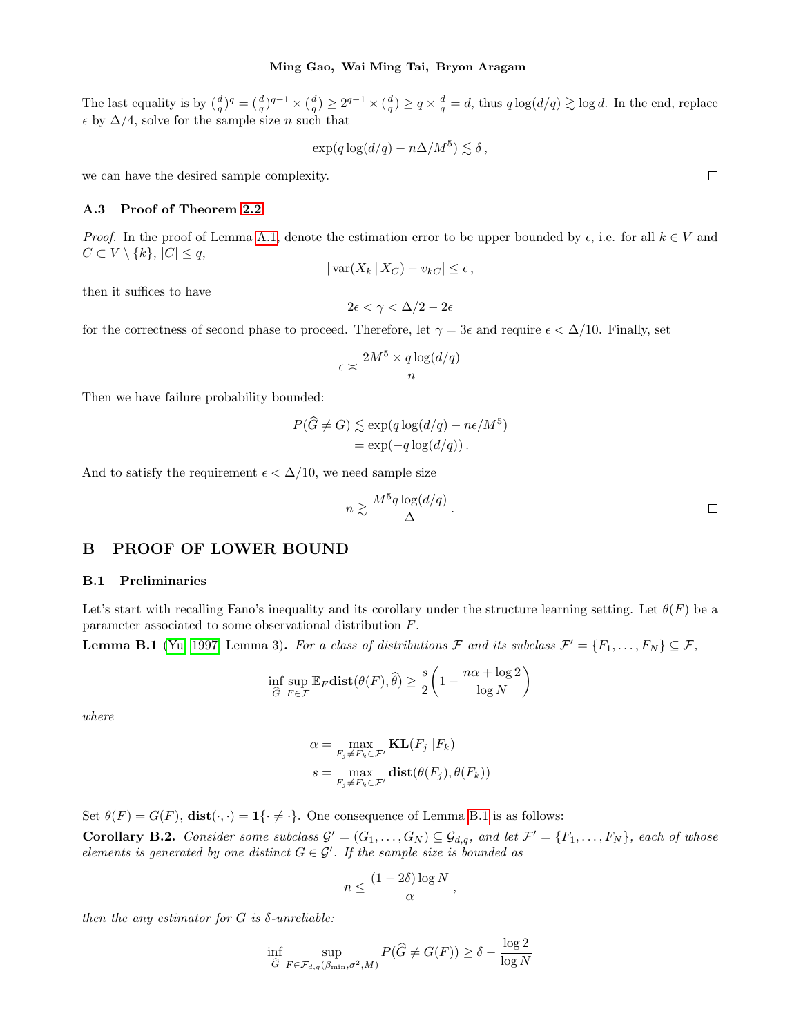The last equality is by  $(\frac{d}{q})^q = (\frac{d}{q})^{q-1} \times (\frac{d}{q}) \geq 2^{q-1} \times (\frac{d}{q}) \geq q \times \frac{d}{q} = d$ , thus  $q \log(d/q) \gtrsim \log d$ . In the end, replace  $\epsilon$  by  $\Delta/4$ , solve for the sample size *n* such that

$$
\exp(q \log(d/q) - n\Delta/M^5) \lesssim \delta,
$$

we can have the desired sample complexity.

### <span id="page-14-0"></span>A.3 Proof of Theorem [2.2](#page-3-3)

*Proof.* In the proof of Lemma [A.1,](#page-11-1) denote the estimation error to be upper bounded by  $\epsilon$ , i.e. for all  $k \in V$  and  $C \subset V \setminus \{k\}, |C| \leq q,$ 

$$
|\operatorname{var}(X_k | X_C) - v_{kC}| \le \epsilon,
$$

then it suffices to have

 $2\epsilon < \gamma < \Delta/2 - 2\epsilon$ 

for the correctness of second phase to proceed. Therefore, let  $\gamma = 3\epsilon$  and require  $\epsilon < \Delta/10$ . Finally, set

$$
\epsilon \asymp \frac{2M^5 \times q\log(d/q)}{n}
$$

Then we have failure probability bounded:

$$
P(\widehat{G} \neq G) \lesssim \exp(q \log(d/q) - n\epsilon/M^5)
$$
  
= 
$$
\exp(-q \log(d/q)).
$$

And to satisfy the requirement  $\epsilon < \Delta/10$ , we need sample size

$$
n \gtrsim \frac{M^5 q \log(d/q)}{\Delta} \, .
$$

## <span id="page-14-2"></span>B PROOF OF LOWER BOUND

### B.1 Preliminaries

Let's start with recalling Fano's inequality and its corollary under the structure learning setting. Let  $\theta(F)$  be a parameter associated to some observational distribution F.

<span id="page-14-3"></span>**Lemma B.1** [\(Yu, 1997,](#page-10-8) Lemma 3). For a class of distributions F and its subclass  $\mathcal{F}' = \{F_1, \ldots, F_N\} \subseteq \mathcal{F}$ ,

$$
\inf_{\widehat{G}} \sup_{F \in \mathcal{F}} \mathbb{E}_F \textbf{dist}(\theta(F), \widehat{\theta}) \ge \frac{s}{2} \left( 1 - \frac{n\alpha + \log 2}{\log N} \right)
$$

where

$$
\alpha = \max_{F_j \neq F_k \in \mathcal{F}'} \mathbf{KL}(F_j||F_k)
$$

$$
s = \max_{F_j \neq F_k \in \mathcal{F}'} \mathbf{dist}(\theta(F_j), \theta(F_k))
$$

Set  $\theta(F) = G(F)$ ,  $dist(\cdot, \cdot) = 1\{\cdot \neq \cdot\}$ . One consequence of Lemma [B.1](#page-14-3) is as follows:

<span id="page-14-1"></span>**Corollary B.2.** Consider some subclass  $\mathcal{G}' = (G_1, \ldots, G_N) \subseteq \mathcal{G}_{d,q}$ , and let  $\mathcal{F}' = \{F_1, \ldots, F_N\}$ , each of whose elements is generated by one distinct  $G \in \mathcal{G}'$ . If the sample size is bounded as

$$
n \le \frac{(1 - 2\delta) \log N}{\alpha},
$$

then the any estimator for  $G$  is  $\delta$ -unreliable:

$$
\inf_{\widehat{G}} \sup_{F \in \mathcal{F}_{d,q}(\beta_{\min}, \sigma^2, M)} P(\widehat{G} \neq G(F)) \geq \delta - \frac{\log 2}{\log N}
$$

 $\Box$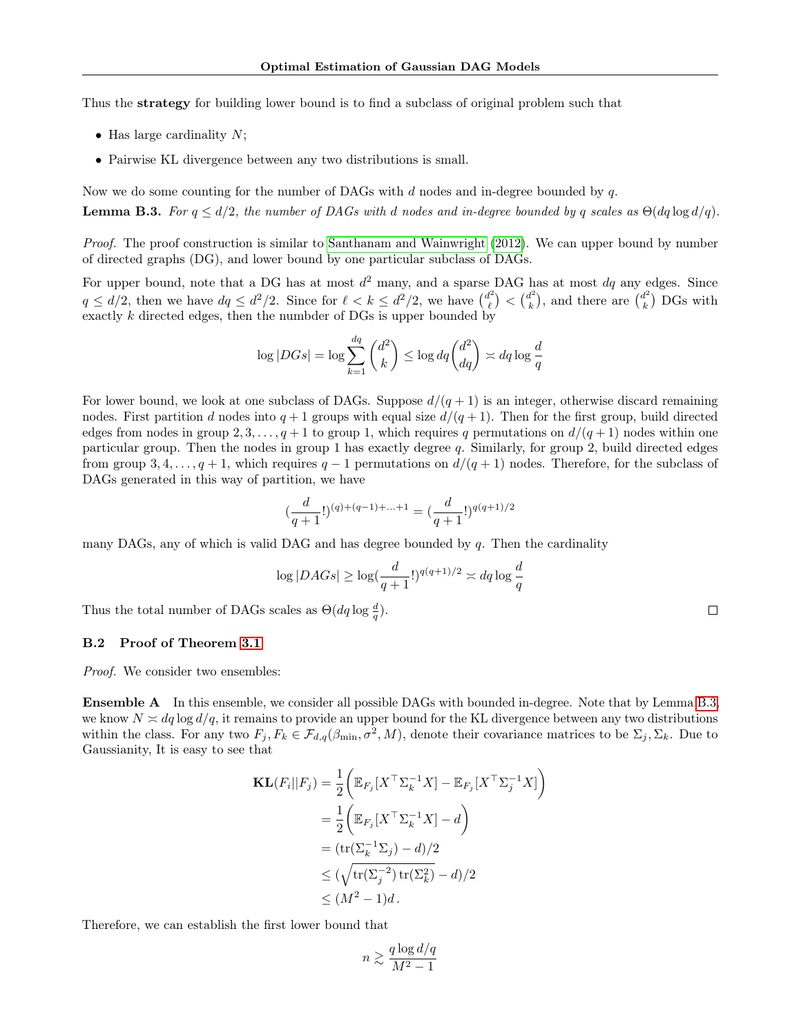Thus the strategy for building lower bound is to find a subclass of original problem such that

- Has large cardinality  $N$ ;
- Pairwise KL divergence between any two distributions is small.

<span id="page-15-0"></span>Now we do some counting for the number of DAGs with  $d$  nodes and in-degree bounded by  $q$ . **Lemma B.3.** For  $q \leq d/2$ , the number of DAGs with d nodes and in-degree bounded by q scales as  $\Theta(dq \log d/q)$ .

Proof. The proof construction is similar to [Santhanam and Wainwright](#page-9-5) [\(2012\)](#page-9-5). We can upper bound by number of directed graphs (DG), and lower bound by one particular subclass of DAGs.

For upper bound, note that a DG has at most  $d^2$  many, and a sparse DAG has at most  $dq$  any edges. Since  $q \leq d/2$ , then we have  $dq \leq d^2/2$ . Since for  $\ell < k \leq d^2/2$ , we have  $\binom{d^2}{\ell}$  $\binom{d^2}{\ell} < \binom{d^2}{k}$  $\binom{d^2}{k}$ , and there are  $\binom{d^2}{k}$  $\binom{n}{k}$  DGs with exactly k directed edges, then the numbder of DGs is upper bounded by

$$
\log |DGs| = \log \sum_{k=1}^{dq} \binom{d^2}{k} \le \log dq \binom{d^2}{dq} \asymp dq \log \frac{d}{q}
$$

For lower bound, we look at one subclass of DAGs. Suppose  $d/(q+1)$  is an integer, otherwise discard remaining nodes. First partition d nodes into  $q + 1$  groups with equal size  $d/(q + 1)$ . Then for the first group, build directed edges from nodes in group 2, 3, ...,  $q + 1$  to group 1, which requires q permutations on  $d/(q + 1)$  nodes within one particular group. Then the nodes in group 1 has exactly degree q. Similarly, for group 2, build directed edges from group 3, 4, . . . , q + 1, which requires q – 1 permutations on  $d/(q+1)$  nodes. Therefore, for the subclass of DAGs generated in this way of partition, we have

$$
\left(\frac{d}{q+1}!\right)^{(q)+(q-1)+...+1} = \left(\frac{d}{q+1}!\right)^{q(q+1)/2}
$$

many DAGs, any of which is valid DAG and has degree bounded by q. Then the cardinality

$$
\log |DAGs| \geq \log(\frac{d}{q+1}!)^{q(q+1)/2} \asymp dq \log \frac{d}{q}
$$

Thus the total number of DAGs scales as  $\Theta(dq \log \frac{d}{q})$ .

#### B.2 Proof of Theorem [3.1](#page-4-3)

*Proof.* We consider two ensembles:

**Ensemble A** In this ensemble, we consider all possible DAGs with bounded in-degree. Note that by Lemma [B.3,](#page-15-0) we know  $N \approx dq \log d/q$ , it remains to provide an upper bound for the KL divergence between any two distributions within the class. For any two  $F_j, F_k \in \mathcal{F}_{d,q}(\beta_{\min}, \sigma^2, M)$ , denote their covariance matrices to be  $\Sigma_j, \Sigma_k$ . Due to Gaussianity, It is easy to see that

$$
\mathbf{KL}(F_i||F_j) = \frac{1}{2} \left( \mathbb{E}_{F_j} [X^\top \Sigma_k^{-1} X] - \mathbb{E}_{F_j} [X^\top \Sigma_j^{-1} X] \right)
$$
  
=  $\frac{1}{2} \left( \mathbb{E}_{F_j} [X^\top \Sigma_k^{-1} X] - d \right)$   
=  $(\text{tr}(\Sigma_k^{-1} \Sigma_j) - d)/2$   
 $\leq (\sqrt{\text{tr}(\Sigma_j^{-2}) \text{tr}(\Sigma_k^2)} - d)/2$   
 $\leq (M^2 - 1)d.$ 

Therefore, we can establish the first lower bound that

$$
n \gtrsim \frac{q \log d/q}{M^2-1}
$$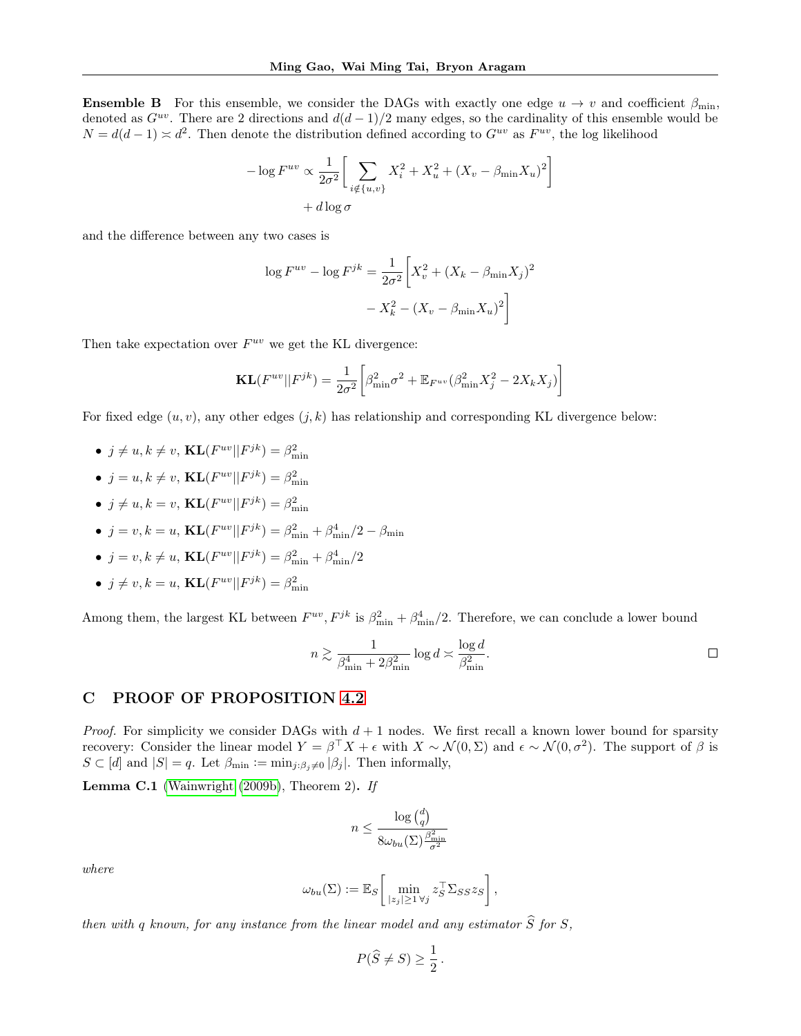**Ensemble B** For this ensemble, we consider the DAGs with exactly one edge  $u \to v$  and coefficient  $\beta_{\min}$ . denoted as  $G^{uv}$ . There are 2 directions and  $d(d-1)/2$  many edges, so the cardinality of this ensemble would be  $N = d(d-1) \times d^2$ . Then denote the distribution defined according to  $G^{uv}$  as  $F^{uv}$ , the log likelihood

$$
-\log F^{uv} \propto \frac{1}{2\sigma^2} \bigg[ \sum_{i \notin \{u,v\}} X_i^2 + X_u^2 + (X_v - \beta_{\min} X_u)^2 \bigg] + d \log \sigma
$$

and the difference between any two cases is

$$
\log F^{uv} - \log F^{jk} = \frac{1}{2\sigma^2} \left[ X_v^2 + (X_k - \beta_{\min} X_j)^2 - X_k^2 - (X_v - \beta_{\min} X_u)^2 \right]
$$

Then take expectation over  $F^{uv}$  we get the KL divergence:

$$
\mathbf{KL}(F^{uv}||F^{jk}) = \frac{1}{2\sigma^2} \left[ \beta_{\min}^2 \sigma^2 + \mathbb{E}_{F^{uv}} (\beta_{\min}^2 X_j^2 - 2X_k X_j) \right]
$$

For fixed edge  $(u, v)$ , any other edges  $(j, k)$  has relationship and corresponding KL divergence below:

- $j \neq u, k \neq v$ ,  $\text{KL}(F^{uv}||F^{jk}) = \beta_{\min}^2$
- $j = u, k \neq v$ ,  $\text{KL}(F^{uv}||F^{jk}) = \beta_{\min}^2$
- $j \neq u, k = v$ ,  $\text{KL}(F^{uv}||F^{jk}) = \beta_{\min}^2$
- $j = v, k = u, \text{ KL}(F^{uv}||F^{jk}) = \beta_{\min}^2 + \beta_{\min}^4/2 \beta_{\min}$
- $j = v, k \neq u$ ,  $KL(F^{uv}||F^{jk}) = \beta_{\min}^2 + \beta_{\min}^4/2$
- $j \neq v, k = u, \mathbf{KL}(F^{uv}||F^{jk}) = \beta_{\min}^2$

Among them, the largest KL between  $F^{uv}, F^{jk}$  is  $\beta_{\min}^2 + \beta_{\min}^4/2$ . Therefore, we can conclude a lower bound

$$
n \gtrsim \frac{1}{\beta_{\min}^4 + 2\beta_{\min}^2} \log d \asymp \frac{\log d}{\beta_{\min}^2}.
$$

# <span id="page-16-0"></span>C PROOF OF PROPOSITION [4.2](#page-5-2)

*Proof.* For simplicity we consider DAGs with  $d + 1$  nodes. We first recall a known lower bound for sparsity recovery: Consider the linear model  $Y = \beta^{T} X + \epsilon$  with  $X \sim \mathcal{N}(0, \Sigma)$  and  $\epsilon \sim \mathcal{N}(0, \sigma^2)$ . The support of  $\beta$  is  $S \subset [d]$  and  $|S| = q$ . Let  $\beta_{\min} := \min_{j:\beta_j\neq 0} |\beta_j|$ . Then informally,

<span id="page-16-1"></span>Lemma C.1 [\(Wainwright](#page-10-4) [\(2009b\)](#page-10-4), Theorem 2). If

$$
n \leq \frac{\log {d \choose q}}{8 \omega_{bu}(\Sigma) \frac{\beta_{\min}^2}{\sigma^2}}
$$

where

$$
\omega_{bu}(\Sigma) := \mathbb{E}_S \left[ \min_{|z_j| \ge 1 \,\forall j} z_S^{\top} \Sigma_{SS} z_S \right],
$$

then with q known, for any instance from the linear model and any estimator  $\widehat{S}$  for  $S$ ,

$$
P(\widehat{S} \neq S) \ge \frac{1}{2}.
$$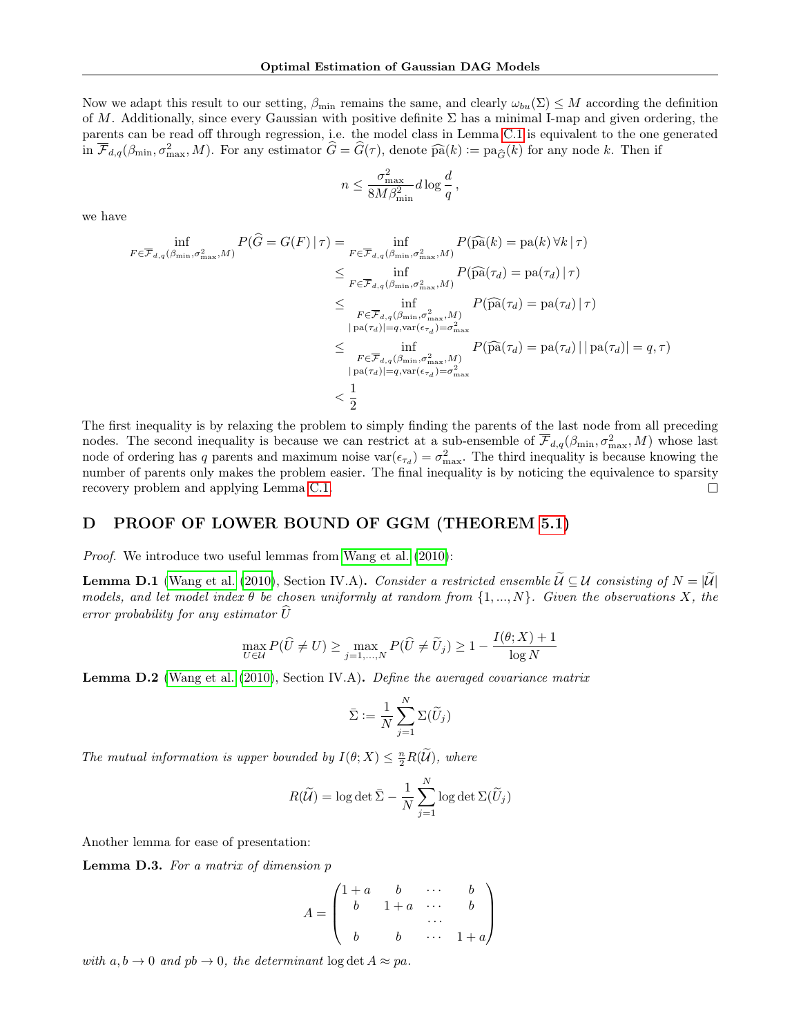Now we adapt this result to our setting,  $\beta_{\min}$  remains the same, and clearly  $\omega_{bu}(\Sigma) \leq M$  according the definition of M. Additionally, since every Gaussian with positive definite  $\Sigma$  has a minimal I-map and given ordering, the parents can be read off through regression, i.e. the model class in Lemma [C.1](#page-16-1) is equivalent to the one generated in  $\overline{\mathcal{F}}_{d,q}(\beta_{\min}, \sigma_{\max}^2, M)$ . For any estimator  $\widehat{G} = \widehat{G}(\tau)$ , denote  $\widehat{pa}(k) := pa_{\widehat{G}}(k)$  for any node k. Then if

$$
n \leq \frac{\sigma_{\max}^2}{8M\beta_{\min}^2} d\log \frac{d}{q}\,,
$$

we have

$$
\inf_{F \in \overline{\mathcal{F}}_{d,q}(\beta_{\min}, \sigma_{\max}^2, M)} P(\widehat{G} = G(F) | \tau) = \inf_{F \in \overline{\mathcal{F}}_{d,q}(\beta_{\min}, \sigma_{\max}^2, M)} P(\widehat{pa}(k) = pa(k) \forall k | \tau)
$$
\n
$$
\leq \inf_{F \in \overline{\mathcal{F}}_{d,q}(\beta_{\min}, \sigma_{\max}^2, M)} P(\widehat{pa}(\tau_d) = pa(\tau_d) | \tau)
$$
\n
$$
\leq \inf_{F \in \overline{\mathcal{F}}_{d,q}(\beta_{\min}, \sigma_{\max}^2, M)} P(\widehat{pa}(\tau_d) = pa(\tau_d) | \tau)
$$
\n
$$
= \inf_{P \in \overline{\mathcal{F}}_{d,q}(\beta_{\min}, \sigma_{\max}^2, M)} P(\widehat{pa}(\tau_d) = pa(\tau_d) | | pa(\tau_d) | = q, \tau)
$$
\n
$$
\leq \inf_{F \in \overline{\mathcal{F}}_{d,q}(\beta_{\min}, \sigma_{\max}^2, M)} P(\widehat{pa}(\tau_d) = pa(\tau_d) | | pa(\tau_d) | = q, \tau)
$$
\n
$$
= \frac{1}{2}
$$

The first inequality is by relaxing the problem to simply finding the parents of the last node from all preceding nodes. The second inequality is because we can restrict at a sub-ensemble of  $\overline{\mathcal{F}}_{d,q}(\beta_{\min}, \sigma_{\max}^2, M)$  whose last node of ordering has q parents and maximum noise  $var(\epsilon_{\tau_d}) = \sigma_{max}^2$ . The third inequality is because knowing the number of parents only makes the problem easier. The final inequality is by noticing the equivalence to sparsity recovery problem and applying Lemma [C.1.](#page-16-1)  $\Box$ 

# <span id="page-17-0"></span>D PROOF OF LOWER BOUND OF GGM (THEOREM [5.1\)](#page-6-3)

Proof. We introduce two useful lemmas from [Wang et al.](#page-10-2) [\(2010\)](#page-10-2):

<span id="page-17-2"></span>**Lemma D.1** [\(Wang et al.](#page-10-2) [\(2010\)](#page-10-2), Section IV.A). Consider a restricted ensemble  $\mathcal{U} \subseteq \mathcal{U}$  consisting of  $N = |\mathcal{U}|$ models, and let model index  $\theta$  be chosen uniformly at random from  $\{1, ..., N\}$ . Given the observations X, the error probability for any estimator  $\widehat{U}$ 

$$
\max_{U \in \mathcal{U}} P(\widehat{U} \neq U) \ge \max_{j=1,\dots,N} P(\widehat{U} \neq \widetilde{U}_j) \ge 1 - \frac{I(\theta;X) + 1}{\log N}
$$

<span id="page-17-3"></span>Lemma D.2 [\(Wang et al.](#page-10-2) [\(2010\)](#page-10-2), Section IV.A). Define the averaged covariance matrix

$$
\bar{\Sigma} := \frac{1}{N} \sum_{j=1}^N \Sigma(\widetilde{U}_j)
$$

The mutual information is upper bounded by  $I(\theta; X) \leq \frac{n}{2}R(\widetilde{\mathcal{U}})$ , where

$$
R(\widetilde{\mathcal{U}}) = \log \det \bar{\Sigma} - \frac{1}{N} \sum_{j=1}^{N} \log \det \Sigma(\widetilde{U}_{j})
$$

Another lemma for ease of presentation:

<span id="page-17-1"></span>**Lemma D.3.** For a matrix of dimension  $p$ 

$$
A = \begin{pmatrix} 1+a & b & \cdots & b \\ b & 1+a & \cdots & b \\ & \cdots & & \\ b & b & \cdots & 1+a \end{pmatrix}
$$

with  $a, b \to 0$  and  $pb \to 0$ , the determinant  $\log \det A \approx pa$ .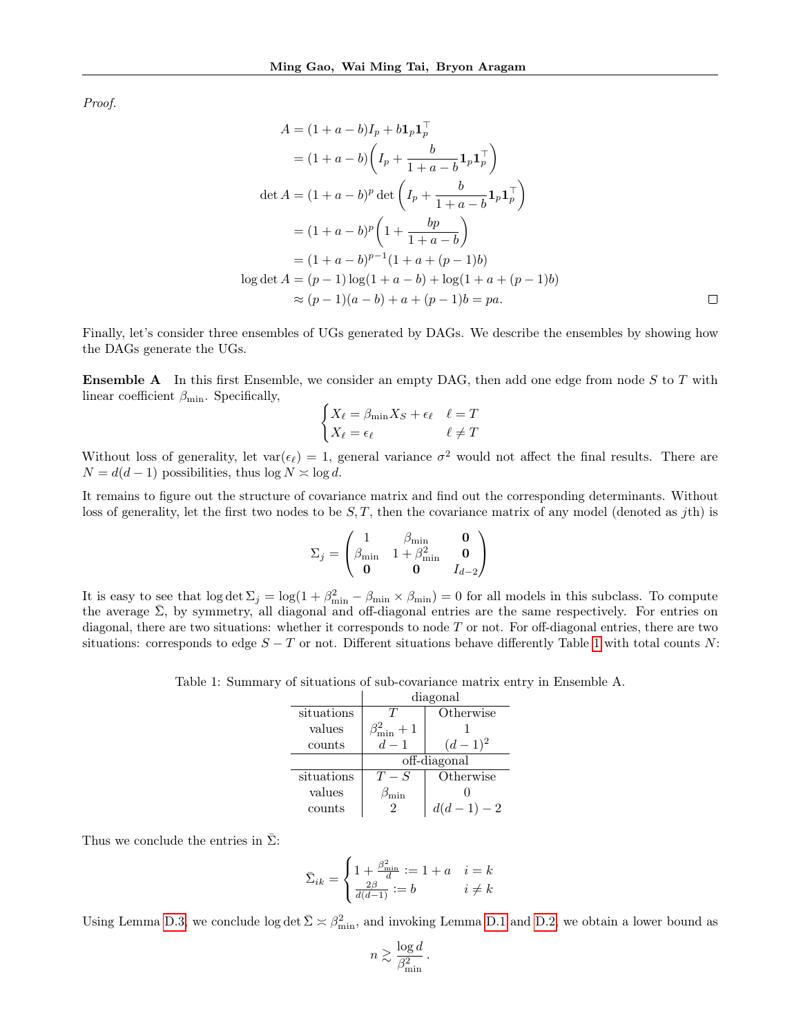Proof.

$$
A = (1 + a - b)I_p + b1_p1_p^{\top}
$$
  
=  $(1 + a - b) (I_p + \frac{b}{1 + a - b} 1_p 1_p^{\top})$   
det  $A = (1 + a - b)^p$  det  $(I_p + \frac{b}{1 + a - b} 1_p 1_p^{\top})$   
=  $(1 + a - b)^p (1 + \frac{bp}{1 + a - b})$   
=  $(1 + a - b)^{p-1}(1 + a + (p - 1)b)$   
 $\log \det A = (p - 1) \log(1 + a - b) + \log(1 + a + (p - 1)b)$   
 $\approx (p - 1)(a - b) + a + (p - 1)b = pa.$ 

Finally, let's consider three ensembles of UGs generated by DAGs. We describe the ensembles by showing how the DAGs generate the UGs.

**Ensemble A** In this first Ensemble, we consider an empty DAG, then add one edge from node  $S$  to  $T$  with linear coefficient  $\beta_{\min}$ . Specifically,

$$
\begin{cases} X_{\ell} = \beta_{\min} X_S + \epsilon_{\ell} & \ell = T \\ X_{\ell} = \epsilon_{\ell} & \ell \neq T \end{cases}
$$

Without loss of generality, let  $var(\epsilon_{\ell}) = 1$ , general variance  $\sigma^2$  would not affect the final results. There are  $N = d(d-1)$  possibilities, thus  $\log N \approx \log d$ .

It remains to figure out the structure of covariance matrix and find out the corresponding determinants. Without loss of generality, let the first two nodes to be  $S, T$ , then the covariance matrix of any model (denoted as jth) is

$$
\Sigma_j = \begin{pmatrix} 1 & \beta_{\min} & \mathbf{0} \\ \beta_{\min} & 1 + \beta_{\min}^2 & \mathbf{0} \\ \mathbf{0} & \mathbf{0} & I_{d-2} \end{pmatrix}
$$

<span id="page-18-0"></span>It is easy to see that  $\log \det \Sigma_j = \log(1 + \beta_{\min}^2 - \beta_{\min} \times \beta_{\min}) = 0$  for all models in this subclass. To compute the average  $\bar{\Sigma}$ , by symmetry, all diagonal and off-diagonal entries are the same respectively. For entries on diagonal, there are two situations: whether it corresponds to node T or not. For off-diagonal entries, there are two situations: corresponds to edge  $S - T$  or not. Different situations behave differently Table [1](#page-18-0) with total counts N:

Table 1: Summary of situations of sub-covariance matrix entry in Ensemble A.

|            |                       | diagonal   |  |
|------------|-----------------------|------------|--|
| situations | T                     | Otherwise  |  |
| values     | $\beta_{\min}^2+1$    |            |  |
| counts     | $d-1$                 | $(d-1)^2$  |  |
|            | off-diagonal          |            |  |
| situations | $T-S$                 | Otherwise  |  |
| values     | $\mathfrak{I}_{\min}$ |            |  |
| counts     | 2                     | $d(d-1)-2$ |  |

Thus we conclude the entries in  $\bar{\Sigma}$ :

$$
\bar{\Sigma}_{ik} = \begin{cases} 1 + \frac{\beta_{\min}^2}{d} := 1 + a & i = k \\ \frac{2\beta}{d(d-1)} := b & i \neq k \end{cases}
$$

Using Lemma [D.3,](#page-17-1) we conclude  $\log \det \bar{\Sigma} \times \beta_{\min}^2$ , and invoking Lemma [D.1](#page-17-2) and [D.2,](#page-17-3) we obtain a lower bound as

$$
n \gtrsim \frac{\log d}{\beta_{\min}^2} \, .
$$